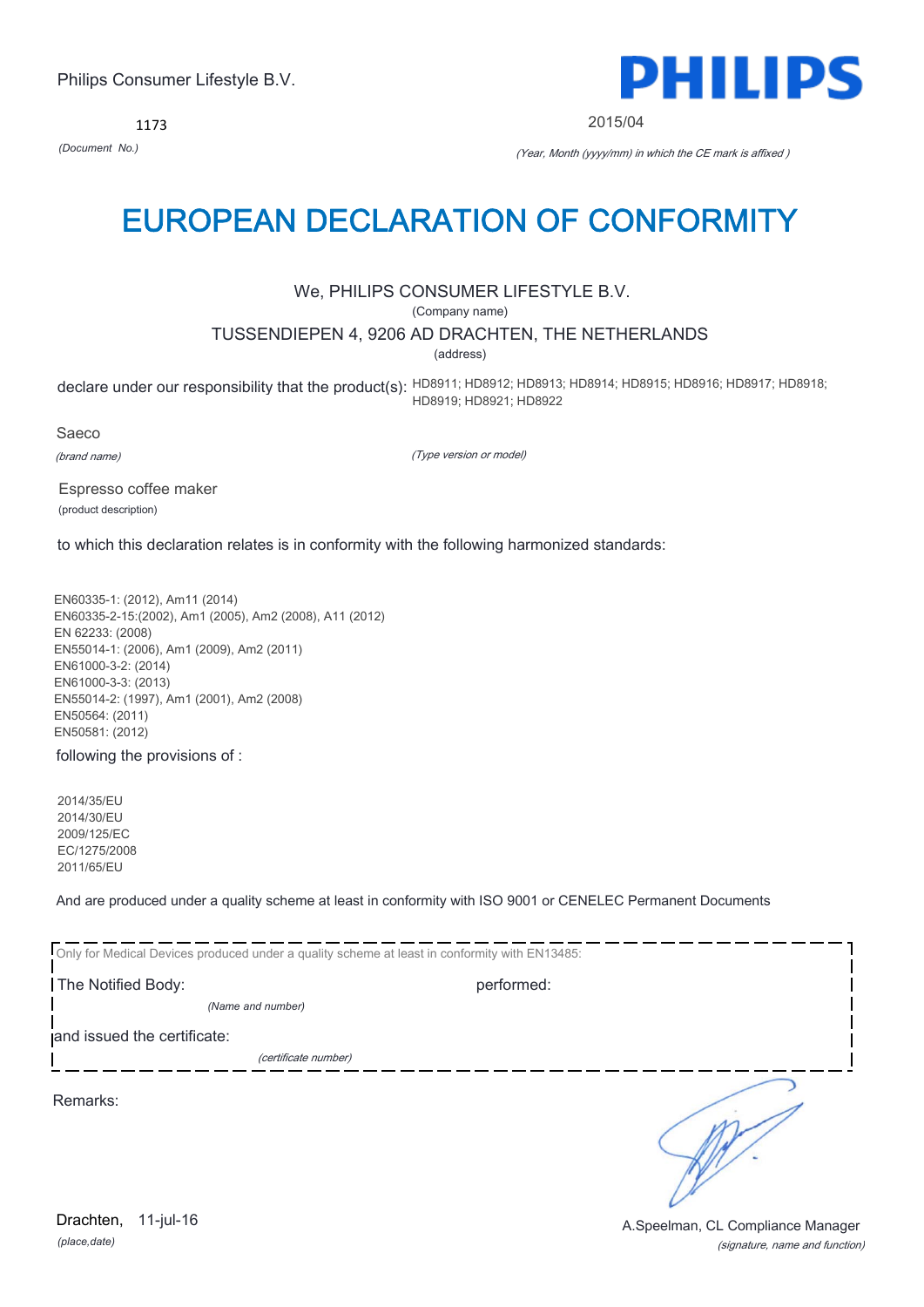1173



2015/04

*(Document No.)* (Year, Month (yyyy/mm) in which the CE mark is affixed )

# EUROPEAN DECLARATION OF CONFORMITY

# We, PHILIPS CONSUMER LIFESTYLE B.V.

(Company name)

# TUSSENDIEPEN 4, 9206 AD DRACHTEN, THE NETHERLANDS

(address)

declare under our responsibility that the product(s): HD8911; HD8912; HD8913; HD8914; HD8915; HD8916; HD8917; HD8918; HD8919; HD8921; HD8922

Saeco (brand name)

(Type version or model)

Espresso coffee maker (product description)

to which this declaration relates is in conformity with the following harmonized standards:

EN60335-1: (2012), Am11 (2014) EN60335-2-15:(2002), Am1 (2005), Am2 (2008), A11 (2012) EN 62233: (2008) EN55014-1: (2006), Am1 (2009), Am2 (2011) EN61000-3-2: (2014) EN61000-3-3: (2013) EN55014-2: (1997), Am1 (2001), Am2 (2008) EN50564: (2011) EN50581: (2012)

following the provisions of :

2014/35/EU 2014/30/EU 2009/125/EC EC/1275/2008 2011/65/EU

And are produced under a quality scheme at least in conformity with ISO 9001 or CENELEC Permanent Documents

| Only for Medical Devices produced under a quality scheme at least in conformity with EN13485: |            |  |  |  |
|-----------------------------------------------------------------------------------------------|------------|--|--|--|
| The Notified Body:                                                                            | performed: |  |  |  |
| (Name and number)                                                                             |            |  |  |  |
| and issued the certificate:                                                                   |            |  |  |  |
| (certificate number)                                                                          |            |  |  |  |
| Remarks:                                                                                      |            |  |  |  |

(signature, name and function) Drachten, 11-jul-16 **Drachten**, 11-jul-16

 $\mathbb Z$ 

*(place,date)* 11-jul-16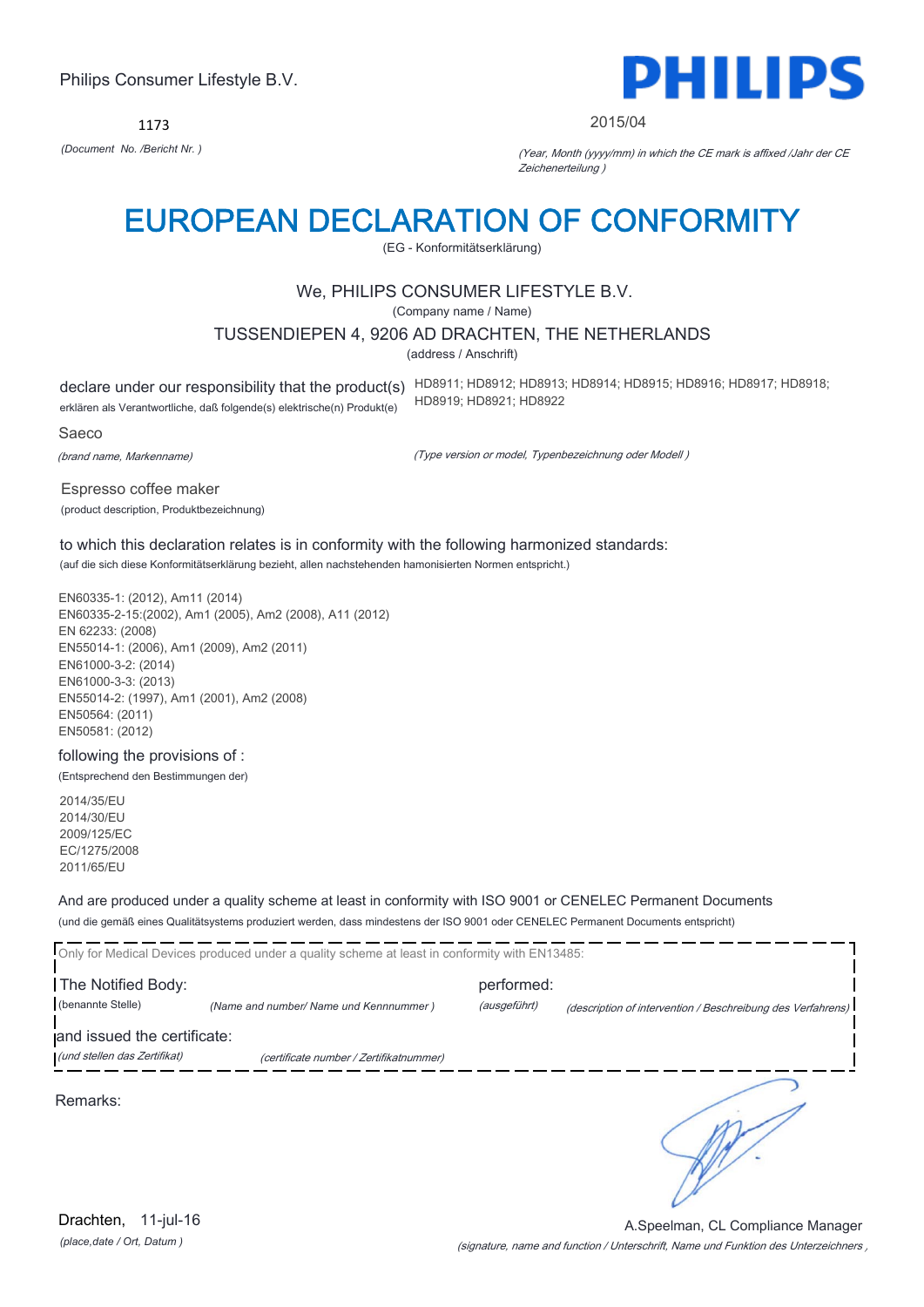1173



#### 2015/04

*(Document No. /Bericht Nr. )* (Year, Month (yyyy/mm) in which the CE mark is affixed /Jahr der CE Zeichenerteilung )

# EUROPEAN DECLARATION OF CONFORMITY

(EG - Konformitätserklärung)

# We, PHILIPS CONSUMER LIFESTYLE B.V.

(Company name / Name)

#### TUSSENDIEPEN 4, 9206 AD DRACHTEN, THE NETHERLANDS

(address / Anschrift)

erklären als Verantwortliche, daß folgende(s) elektrische(n) Produkt(e)

declare under our responsibility that the product(s) HD8911; HD8912; HD8913; HD8914; HD8915; HD8916; HD8917; HD8918; HD8919; HD8921; HD8922

Saeco

(brand name, Markenname)

(Type version or model, Typenbezeichnung oder Modell )

Espresso coffee maker (product description, Produktbezeichnung)

to which this declaration relates is in conformity with the following harmonized standards: (auf die sich diese Konformitätserklärung bezieht, allen nachstehenden hamonisierten Normen entspricht.)

EN60335-1: (2012), Am11 (2014) EN60335-2-15:(2002), Am1 (2005), Am2 (2008), A11 (2012) EN 62233: (2008) EN55014-1: (2006), Am1 (2009), Am2 (2011) EN61000-3-2: (2014) EN61000-3-3: (2013) EN55014-2: (1997), Am1 (2001), Am2 (2008) EN50564: (2011) EN50581: (2012)

following the provisions of : (Entsprechend den Bestimmungen der)

2014/35/EU 2014/30/EU 2009/125/EC EC/1275/2008 2011/65/EU

### And are produced under a quality scheme at least in conformity with ISO 9001 or CENELEC Permanent Documents

(und die gemäß eines Qualitätsystems produziert werden, dass mindestens der ISO 9001 oder CENELEC Permanent Documents entspricht)

Tonly for Medical Devices produced under a quality scheme at least in conformity with EN13485 The Notified Body: performed: (benannte Stelle) *(Name and number/ Name und Kennnummer )* (ausgeführt) (description of intervention / Beschreibung des Verfahrens) and issued the certificate: (und stellen das Zertifikat) (certificate number / Zertifikatnummer) ٦

Remarks:

*(place,date / Ort, Datum )* Drachten, 11-jul-16

(signature, name and function / Unterschrift, Name und Funktion des Unterzeichners ) A.Speelman, CL Compliance Manager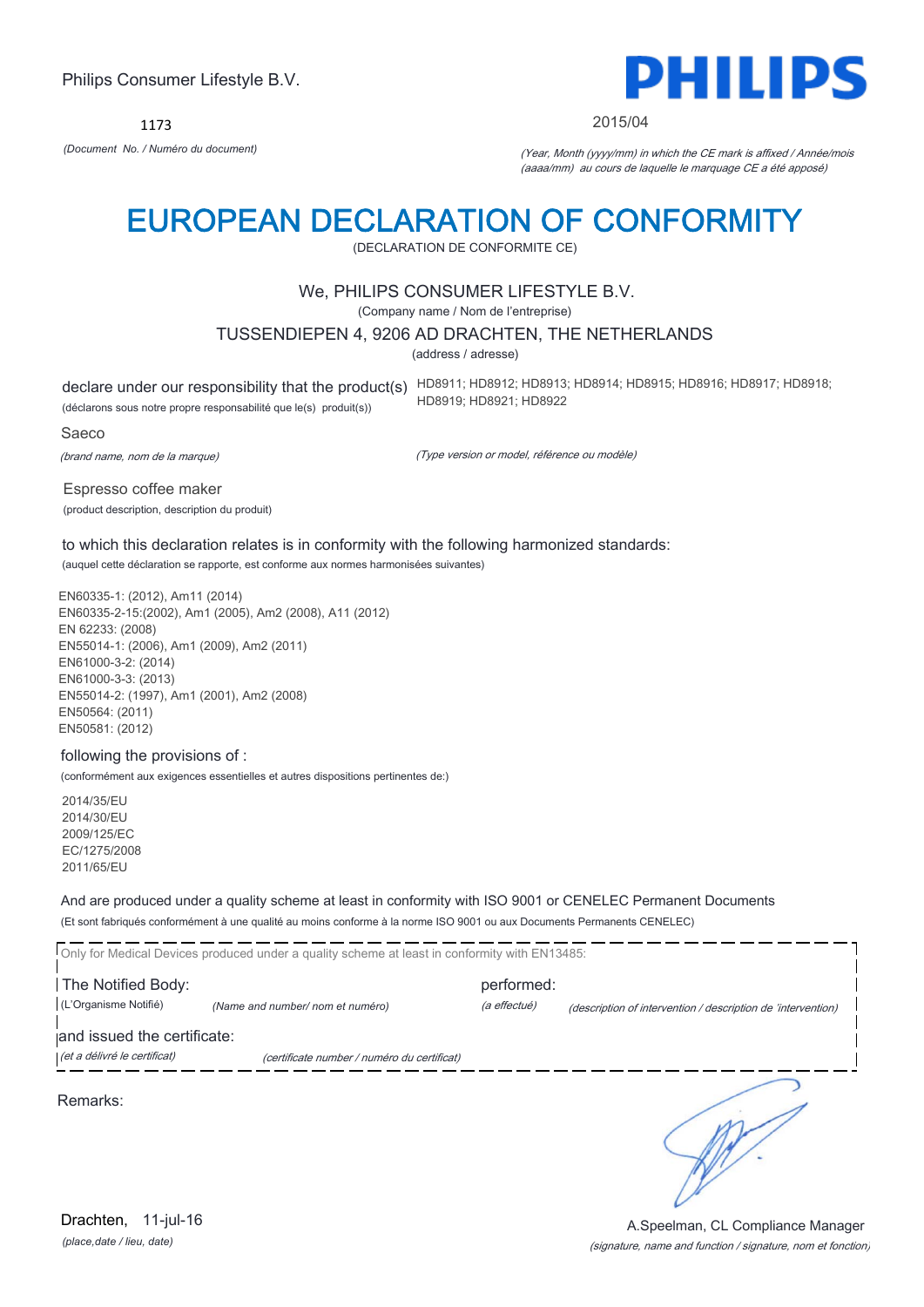1173



#### 2015/04

*(Document No. / Numéro du document)* (Year, Month (yyyy/mm) in which the CE mark is affixed / Année/mois (aaaa/mm) au cours de laquelle le marquage CE a été apposé)

# EUROPEAN DECLARATION OF CONFORMITY

(DECLARATION DE CONFORMITE CE)

### We, PHILIPS CONSUMER LIFESTYLE B.V.

(Company name / Nom de l'entreprise)

### TUSSENDIEPEN 4, 9206 AD DRACHTEN, THE NETHERLANDS

(address / adresse)

(déclarons sous notre propre responsabilité que le(s) produit(s))

declare under our responsibility that the product(s) HD8911; HD8912; HD8913; HD8914; HD8915; HD8916; HD8917; HD8918; HD8919; HD8921; HD8922

Saeco

(brand name, nom de la marque)

(Type version or model, référence ou modèle)

Espresso coffee maker (product description, description du produit)

to which this declaration relates is in conformity with the following harmonized standards: (auquel cette déclaration se rapporte, est conforme aux normes harmonisées suivantes)

EN60335-1: (2012), Am11 (2014) EN60335-2-15:(2002), Am1 (2005), Am2 (2008), A11 (2012) EN 62233: (2008) EN55014-1: (2006), Am1 (2009), Am2 (2011) EN61000-3-2: (2014) EN61000-3-3: (2013) EN55014-2: (1997), Am1 (2001), Am2 (2008) EN50564: (2011) EN50581: (2012)

#### following the provisions of :

(conformément aux exigences essentielles et autres dispositions pertinentes de:)

2014/35/EU 2014/30/EU 2009/125/EC EC/1275/2008 2011/65/EU

And are produced under a quality scheme at least in conformity with ISO 9001 or CENELEC Permanent Documents

(Et sont fabriqués conformément à une qualité au moins conforme à la norme ISO 9001 ou aux Documents Permanents CENELEC)

Only for Medical Devices produced under a quality scheme at least in conformity with EN13485: The Notified Body: performed: (L'Organisme Notifié) *(Name and number/ nom et numéro)* (a effectué) (description of intervention / description de 'intervention) and issued the certificate: (et a délivré le certificat) (certificate number / numéro du certificat) ٦

Remarks:

*(place,date / lieu, date)* Drachten, 11-jul-16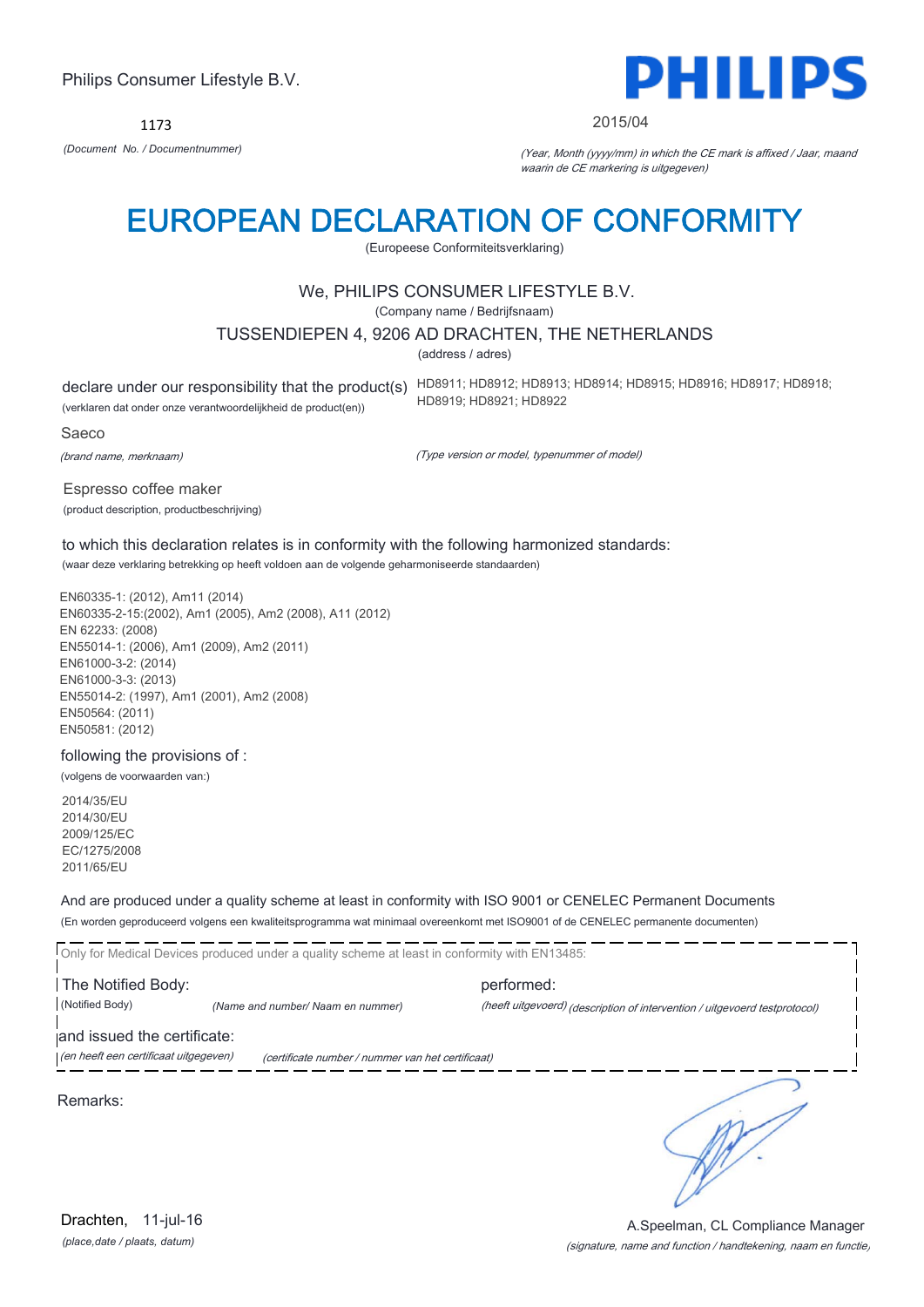1173



#### 2015/04

*(Document No. / Documentnummer)* (Year, Month (yyyy/mm) in which the CE mark is affixed / Jaar, maand waarin de CE markering is uitgegeven)

# EUROPEAN DECLARATION OF CONFORMITY

(Europeese Conformiteitsverklaring)

# We, PHILIPS CONSUMER LIFESTYLE B.V.

(Company name / Bedrijfsnaam)

### TUSSENDIEPEN 4, 9206 AD DRACHTEN, THE NETHERLANDS

(address / adres)

(verklaren dat onder onze verantwoordelijkheid de product(en))

declare under our responsibility that the product(s) HD8911; HD8912; HD8913; HD8914; HD8915; HD8916; HD8917; HD8918; HD8919; HD8921; HD8922

Saeco

(brand name, merknaam)

(Type version or model, typenummer of model)

Espresso coffee maker (product description, productbeschrijving)

to which this declaration relates is in conformity with the following harmonized standards: (waar deze verklaring betrekking op heeft voldoen aan de volgende geharmoniseerde standaarden)

EN60335-1: (2012), Am11 (2014) EN60335-2-15:(2002), Am1 (2005), Am2 (2008), A11 (2012) EN 62233: (2008) EN55014-1: (2006), Am1 (2009), Am2 (2011) EN61000-3-2: (2014) EN61000-3-3: (2013) EN55014-2: (1997), Am1 (2001), Am2 (2008) EN50564: (2011) EN50581: (2012)

following the provisions of :

(volgens de voorwaarden van:)

2014/35/EU 2014/30/EU 2009/125/EC EC/1275/2008 2011/65/EU

And are produced under a quality scheme at least in conformity with ISO 9001 or CENELEC Permanent Documents

(En worden geproduceerd volgens een kwaliteitsprogramma wat minimaal overeenkomt met ISO9001 of de CENELEC permanente documenten)

Only for Medical Devices produced under a quality scheme at least in conformity with EN13485: The Notified Body: performed: (Notified Body) *(Name and number/ Naam en nummer)* (heeft uitgevoerd) (description of intervention / uitgevoerd testprotocol) and issued the certificate:

(en heeft een certificaat uitgegeven) (certificate number / nummer van het certificaat)

Remarks:

*(place,date / plaats, datum)* Drachten, 11-jul-16

٦

(signature, name and function / handtekening, naam en functie) A.Speelman, CL Compliance Manager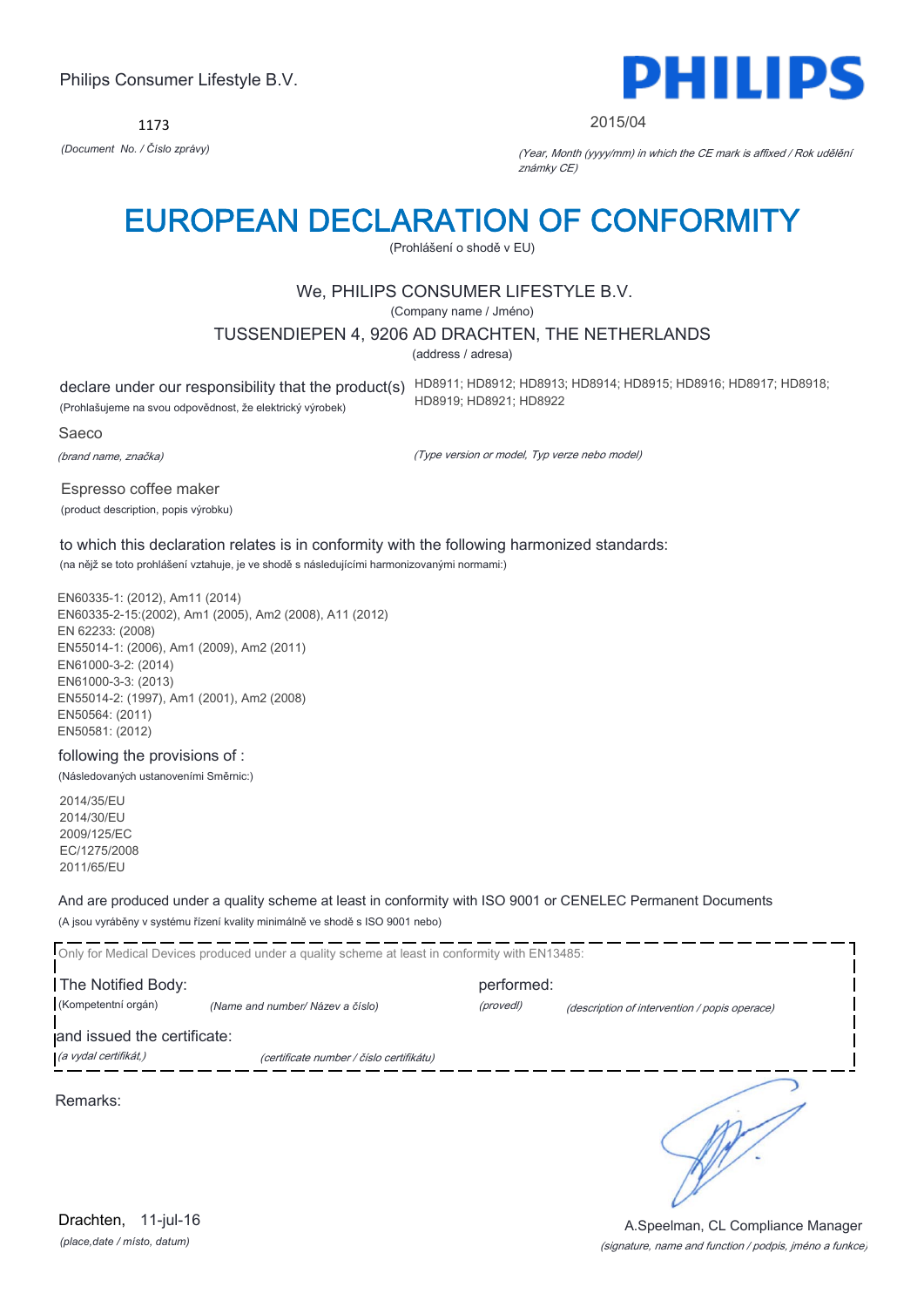1173



#### 2015/04

*(Document No. / Číslo zprávy)* (Year, Month (yyyy/mm) in which the CE mark is affixed / Rok udělění známky CE)

# EUROPEAN DECLARATION OF CONFORMITY

(Prohlášení o shodě v EU)

# We, PHILIPS CONSUMER LIFESTYLE B.V.

(Company name / Jméno)

#### TUSSENDIEPEN 4, 9206 AD DRACHTEN, THE NETHERLANDS

(address / adresa)

(Prohlašujeme na svou odpovědnost, že elektrický výrobek)

declare under our responsibility that the product(s) HD8911; HD8912; HD8913; HD8914; HD8915; HD8916; HD8917; HD8918; HD8919; HD8921; HD8922

#### Saeco

(brand name, značka)

(Type version or model, Typ verze nebo model)

Espresso coffee maker (product description, popis výrobku)

to which this declaration relates is in conformity with the following harmonized standards: (na nějž se toto prohlášení vztahuje, je ve shodě s následujícími harmonizovanými normami:)

EN60335-1: (2012), Am11 (2014) EN60335-2-15:(2002), Am1 (2005), Am2 (2008), A11 (2012) EN 62233: (2008) EN55014-1: (2006), Am1 (2009), Am2 (2011) EN61000-3-2: (2014) EN61000-3-3: (2013) EN55014-2: (1997), Am1 (2001), Am2 (2008) EN50564: (2011) EN50581: (2012)

# following the provisions of :

(Následovaných ustanoveními Směrnic:)

2014/35/EU 2014/30/EU 2009/125/EC EC/1275/2008 2011/65/EU

And are produced under a quality scheme at least in conformity with ISO 9001 or CENELEC Permanent Documents (A jsou vyráběny v systému řízení kvality minimálně ve shodě s ISO 9001 nebo)

Only for Medical Devices produced under a quality scheme at least in conformity with EN13485: The Notified Body: performed: (Kompetentní orgán) *(Name and number/ Název a číslo)* (provedl) (description of intervention / popis operace) and issued the certificate: (a vydal certifikát,) (certificate number / číslo certifikátu) ℩ Remarks:

*(place,date / místo, datum)* Drachten, 11-jul-16

#### (signature, name and function / podpis, jméno a funkce) A.Speelman, CL Compliance Manager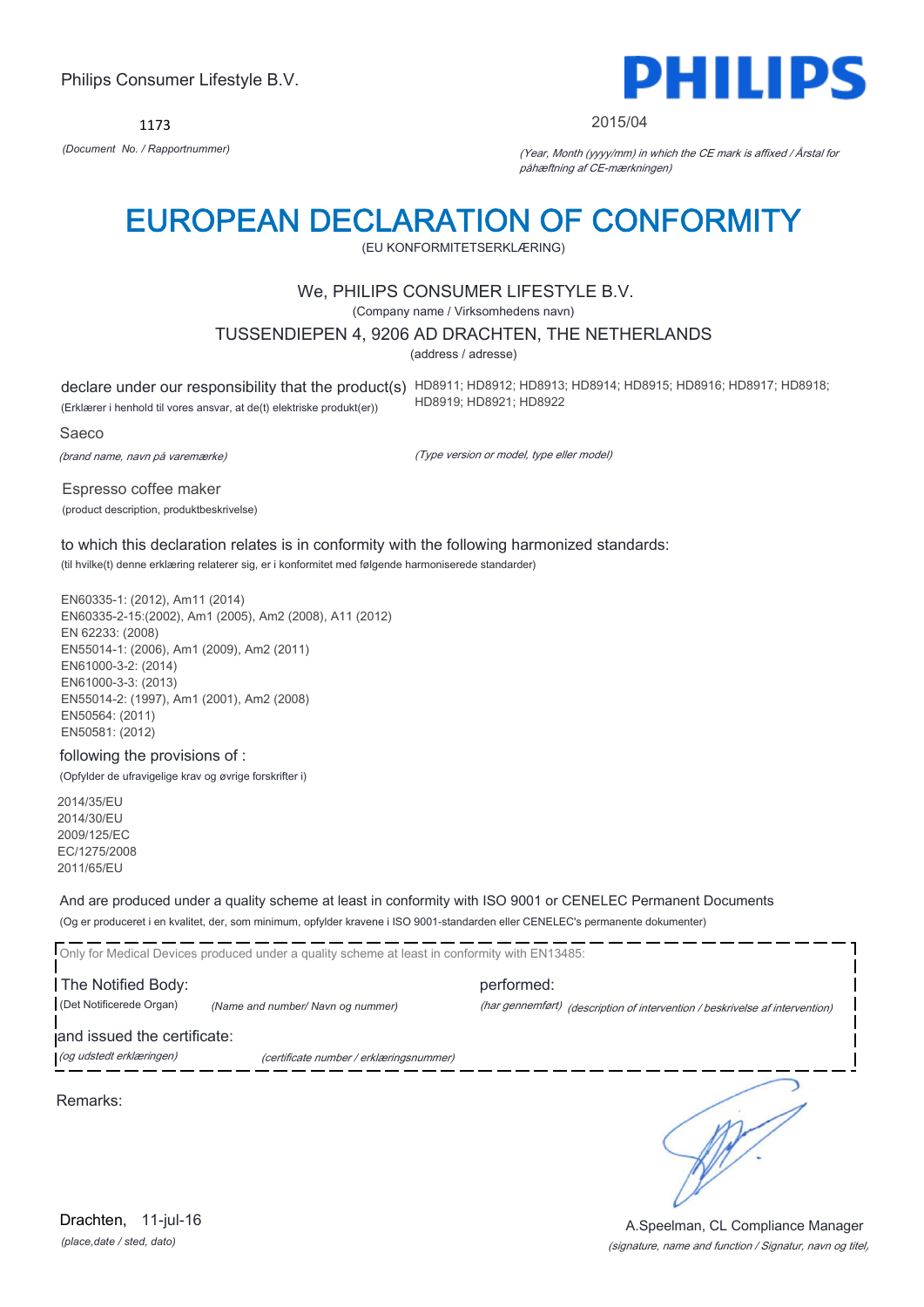1173



#### 2015/04

*(Document No. / Rapportnummer)* (Year, Month (yyyy/mm) in which the CE mark is affixed / Årstal for påhæftning af CE-mærkningen)

# EUROPEAN DECLARATION OF CONFORMITY

(EU KONFORMITETSERKLÆRING)

# We, PHILIPS CONSUMER LIFESTYLE B.V.

(Company name / Virksomhedens navn)

### TUSSENDIEPEN 4, 9206 AD DRACHTEN, THE NETHERLANDS

(address / adresse)

declare under our responsibility that the product(s) HD8911; HD8912; HD8913; HD8914; HD8915; HD8916; HD8917; HD8918; (Erklærer i henhold til vores ansvar, at de(t) elektriske produkt(er)) HD8919; HD8921; HD8922

Saeco

(brand name, navn på varemærke)

(Type version or model, type eller model)

Espresso coffee maker (product description, produktbeskrivelse)

to which this declaration relates is in conformity with the following harmonized standards: (til hvilke(t) denne erklæring relaterer sig, er i konformitet med følgende harmoniserede standarder)

EN60335-1: (2012), Am11 (2014) EN60335-2-15:(2002), Am1 (2005), Am2 (2008), A11 (2012) EN 62233: (2008) EN55014-1: (2006), Am1 (2009), Am2 (2011) EN61000-3-2: (2014) EN61000-3-3: (2013) EN55014-2: (1997), Am1 (2001), Am2 (2008) EN50564: (2011) EN50581: (2012)

#### following the provisions of :

(Opfylder de ufravigelige krav og øvrige forskrifter i)

2014/35/EU 2014/30/EU 2009/125/EC EC/1275/2008 2011/65/EU

And are produced under a quality scheme at least in conformity with ISO 9001 or CENELEC Permanent Documents

(Og er produceret i en kvalitet, der, som minimum, opfylder kravene i ISO 9001-standarden eller CENELEC's permanente dokumenter)

Only for Medical Devices produced under a quality scheme at least in conformity with EN13485:

The Notified Body: example and performed: (Det Notificerede Organ) *(Name and number/ Navn og nummer)* (har gennemført) (description of intervention / beskrivelse af intervention)

and issued the certificate:

(og udstedt erklæringen) (certificate number / erklæringsnummer)

Remarks:

*(place,date / sted, dato)* Drachten, 11-jul-16

# (signature, name and function / Signatur, navn og titel) A.Speelman, CL Compliance Manager

╮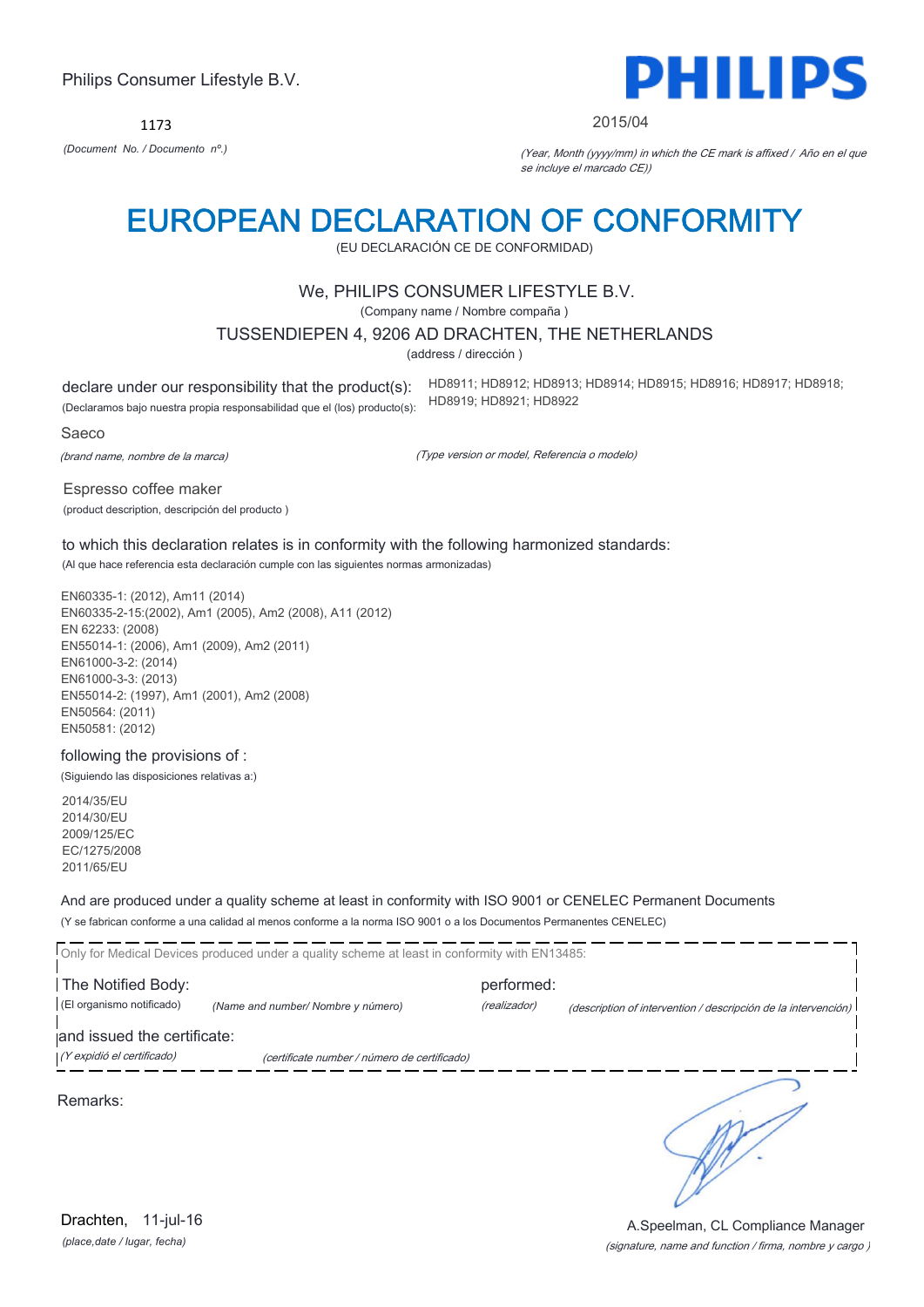1173



#### 2015/04

*(Document No. / Documento nº.)* (Year, Month (yyyy/mm) in which the CE mark is affixed / Año en el que se incluye el marcado CE))

# EUROPEAN DECLARATION OF CONFORMITY

(EU DECLARACIÓN CE DE CONFORMIDAD)

# We, PHILIPS CONSUMER LIFESTYLE B.V.

(Company name / Nombre compaña )

### TUSSENDIEPEN 4, 9206 AD DRACHTEN, THE NETHERLANDS

(address / dirección )

declare under our responsibility that the product(s): (Declaramos bajo nuestra propia responsabilidad que el (los) producto(s): HD8911; HD8912; HD8913; HD8914; HD8915; HD8916; HD8917; HD8918; HD8919; HD8921; HD8922

#### Saeco

(brand name, nombre de la marca)

(Type version or model, Referencia o modelo)

Espresso coffee maker (product description, descripción del producto )

to which this declaration relates is in conformity with the following harmonized standards: (Al que hace referencia esta declaración cumple con las siguientes normas armonizadas)

EN60335-1: (2012), Am11 (2014) EN60335-2-15:(2002), Am1 (2005), Am2 (2008), A11 (2012) EN 62233: (2008) EN55014-1: (2006), Am1 (2009), Am2 (2011) EN61000-3-2: (2014) EN61000-3-3: (2013) EN55014-2: (1997), Am1 (2001), Am2 (2008) EN50564: (2011) EN50581: (2012)

# following the provisions of :

(Siguiendo las disposiciones relativas a:)

2014/35/EU 2014/30/EU 2009/125/EC EC/1275/2008 2011/65/EU

And are produced under a quality scheme at least in conformity with ISO 9001 or CENELEC Permanent Documents

(Y se fabrican conforme a una calidad al menos conforme a la norma ISO 9001 o a los Documentos Permanentes CENELEC)

Only for Medical Devices produced under a quality scheme at least in conformity with EN13485: The Notified Body: performed: (El organismo notificado) *(Name and number/ Nombre y número)* (realizador) (description of intervention / descripción de la intervención) and issued the certificate: (Y expidió el certificado) (certificate number / número de certificado) ٦

#### Remarks:

*(place,date / lugar, fecha)* Drachten, 11-jul-16

### (signature, name and function / firma, nombre y cargo ) A.Speelman, CL Compliance Manager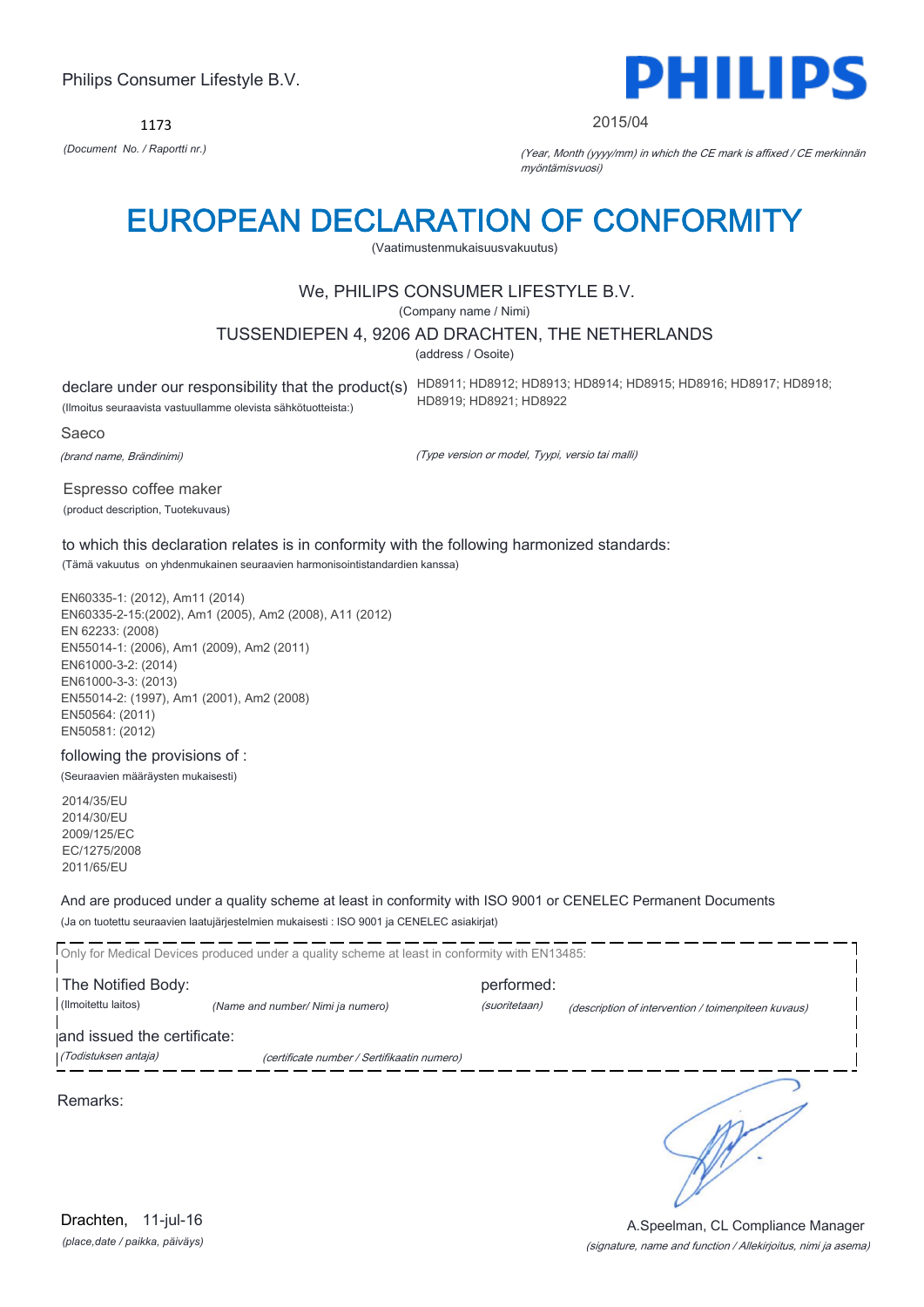1173



#### 2015/04

*(Document No. / Raportti nr.)* (Year, Month (yyyy/mm) in which the CE mark is affixed / CE merkinnän myöntämisvuosi)

# EUROPEAN DECLARATION OF CONFORMITY

(Vaatimustenmukaisuusvakuutus)

# We, PHILIPS CONSUMER LIFESTYLE B.V.

(Company name / Nimi)

### TUSSENDIEPEN 4, 9206 AD DRACHTEN, THE NETHERLANDS

(address / Osoite)

(Ilmoitus seuraavista vastuullamme olevista sähkötuotteista:)

declare under our responsibility that the product(s) HD8911; HD8912; HD8913; HD8914; HD8915; HD8916; HD8917; HD8918; HD8919; HD8921; HD8922

Saeco

(brand name, Brändinimi)

(Type version or model, Tyypi, versio tai malli)

Espresso coffee maker (product description, Tuotekuvaus)

to which this declaration relates is in conformity with the following harmonized standards: (Tämä vakuutus on yhdenmukainen seuraavien harmonisointistandardien kanssa)

EN60335-1: (2012), Am11 (2014) EN60335-2-15:(2002), Am1 (2005), Am2 (2008), A11 (2012) EN 62233: (2008) EN55014-1: (2006), Am1 (2009), Am2 (2011) EN61000-3-2: (2014) EN61000-3-3: (2013) EN55014-2: (1997), Am1 (2001), Am2 (2008) EN50564: (2011) EN50581: (2012)

following the provisions of : (Seuraavien määräysten mukaisesti)

2014/35/EU 2014/30/EU 2009/125/EC EC/1275/2008 2011/65/EU

And are produced under a quality scheme at least in conformity with ISO 9001 or CENELEC Permanent Documents (Ja on tuotettu seuraavien laatujärjestelmien mukaisesti : ISO 9001 ja CENELEC asiakirjat)

Only for Medical Devices produced under a quality scheme at least in conformity with EN13485: The Notified Body: performed: (Ilmoitettu laitos) *(Name and number/ Nimi ja numero)* (suoritetaan) (description of intervention / toimenpiteen kuvaus) and issued the certificate: (Todistuksen antaja) (certificate number / Sertifikaatin numero) ٦

Remarks:

*(place,date / paikka, päiväys)* Drachten, 11-jul-16

### (signature, name and function / Allekirjoitus, nimi ja asema) A.Speelman, CL Compliance Manager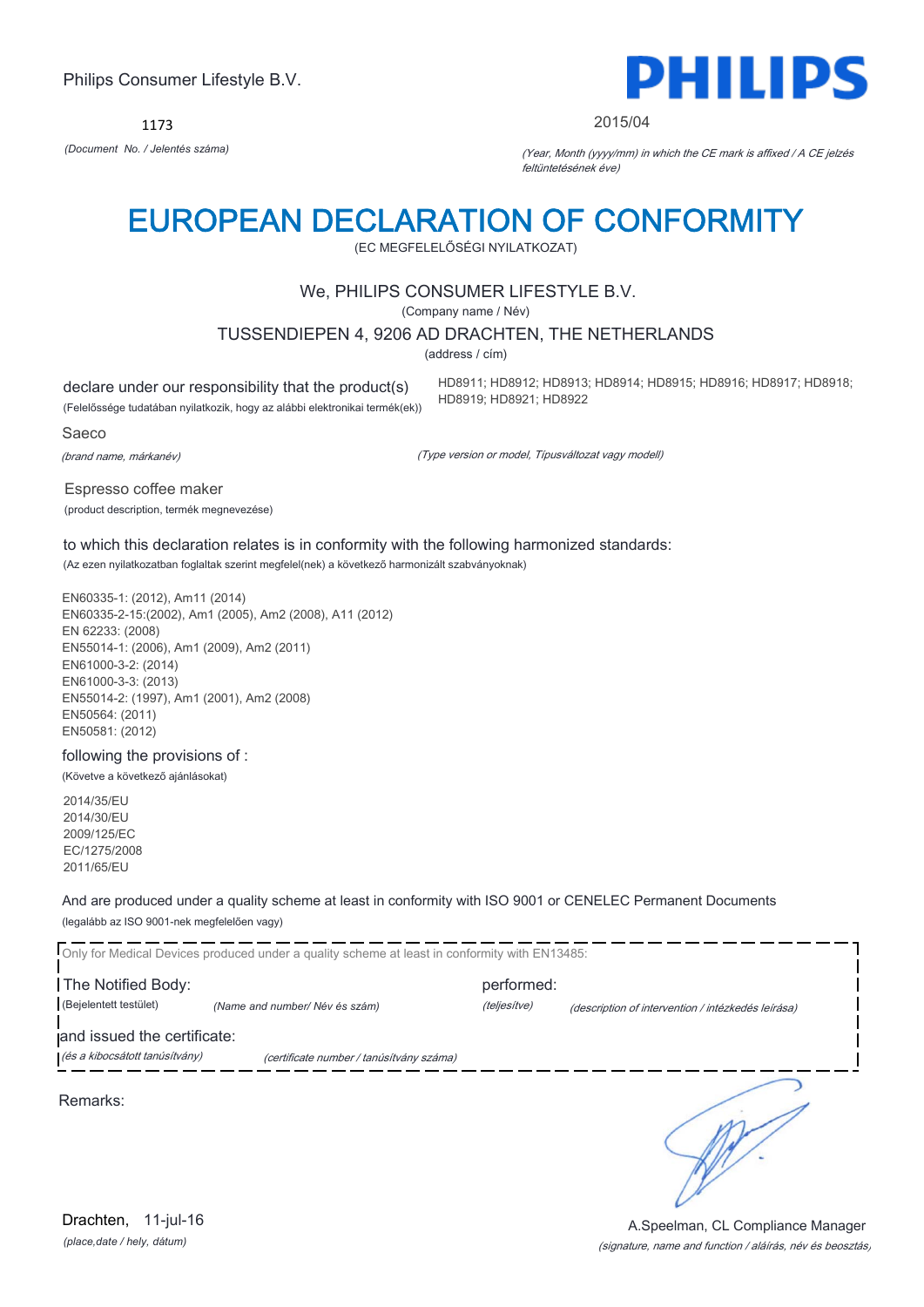1173



#### 2015/04

*(Document No. / Jelentés száma)* (Year, Month (yyyy/mm) in which the CE mark is affixed / A CE jelzés feltüntetésének éve)

# EUROPEAN DECLARATION OF CONFORMITY

(EC MEGFELELŐSÉGI NYILATKOZAT)

# We, PHILIPS CONSUMER LIFESTYLE B.V.

(Company name / Név)

TUSSENDIEPEN 4, 9206 AD DRACHTEN, THE NETHERLANDS

(address / cím)

declare under our responsibility that the product(s) (Felelőssége tudatában nyilatkozik, hogy az alábbi elektronikai termék(ek)) HD8911; HD8912; HD8913; HD8914; HD8915; HD8916; HD8917; HD8918; HD8919; HD8921; HD8922

Saeco

(brand name, márkanév)

(Type version or model, Típusváltozat vagy modell)

Espresso coffee maker (product description, termék megnevezése)

to which this declaration relates is in conformity with the following harmonized standards: (Az ezen nyilatkozatban foglaltak szerint megfelel(nek) a következő harmonizált szabványoknak)

EN60335-1: (2012), Am11 (2014) EN60335-2-15:(2002), Am1 (2005), Am2 (2008), A11 (2012) EN 62233: (2008) EN55014-1: (2006), Am1 (2009), Am2 (2011) EN61000-3-2: (2014) EN61000-3-3: (2013) EN55014-2: (1997), Am1 (2001), Am2 (2008) EN50564: (2011) EN50581: (2012)

following the provisions of : (Követve a következő ajánlásokat)

2014/35/EU 2014/30/EU 2009/125/EC EC/1275/2008 2011/65/EU

And are produced under a quality scheme at least in conformity with ISO 9001 or CENELEC Permanent Documents (legalább az ISO 9001-nek megfelelően vagy)

Only for Medical Devices produced under a quality scheme at least in conformity with EN13485: The Notified Body: performed: (Bejelentett testület) *(Name and number/ Név és szám)* (teljesítve) (description of intervention / intézkedés leírása) and issued the certificate: (és a kibocsátott tanúsítvány) (certificate number / tanúsítvány száma) ٦ Remarks:

*(place,date / hely, dátum)* Drachten, 11-jul-16

(signature, name and function / aláírás, név és beosztás) A.Speelman, CL Compliance Manager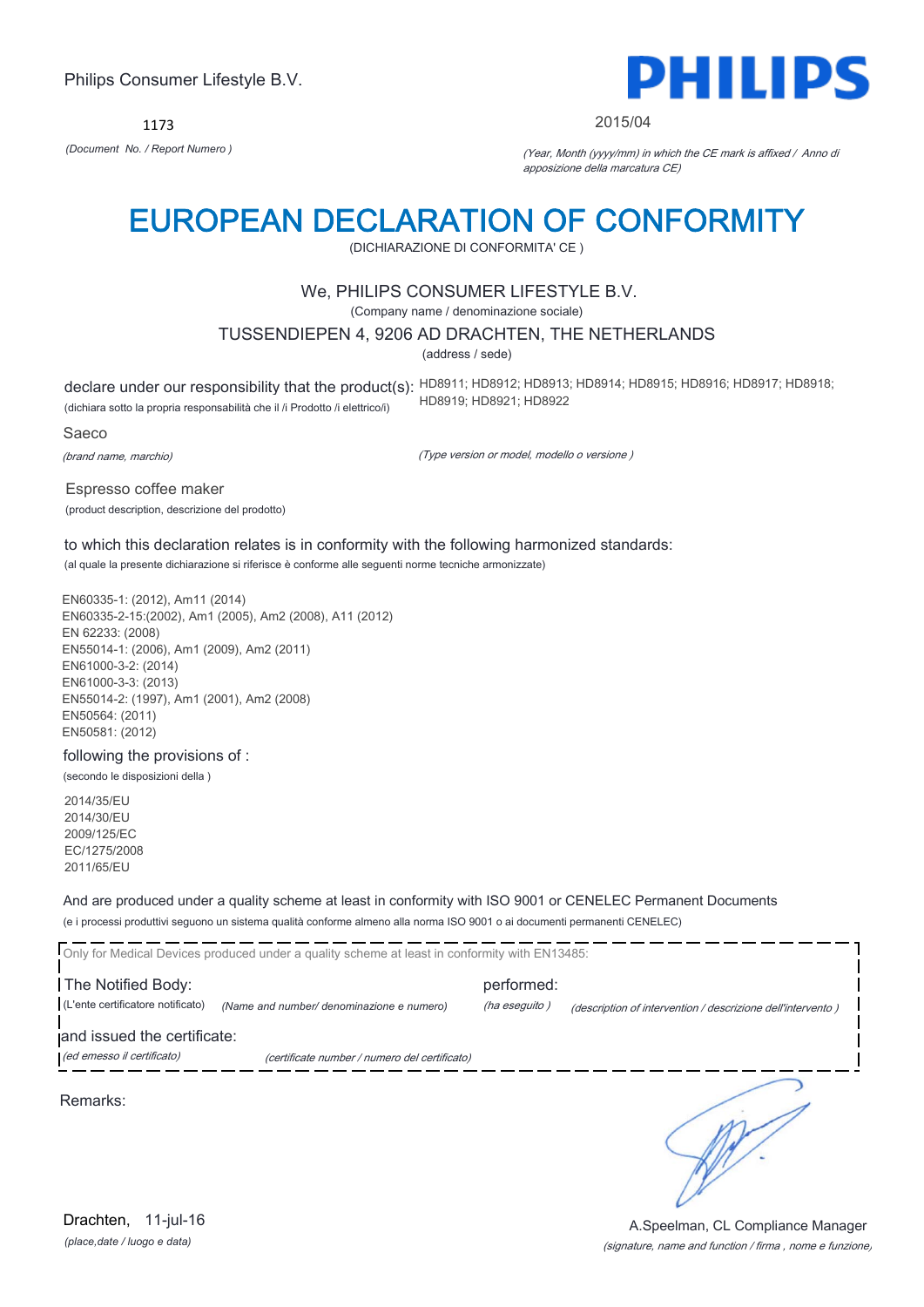1173



#### 2015/04

*(Document No. / Report Numero )* (Year, Month (yyyy/mm) in which the CE mark is affixed / Anno di apposizione della marcatura CE)

# EUROPEAN DECLARATION OF CONFORMITY

(DICHIARAZIONE DI CONFORMITA' CE )

# We, PHILIPS CONSUMER LIFESTYLE B.V.

(Company name / denominazione sociale)

### TUSSENDIEPEN 4, 9206 AD DRACHTEN, THE NETHERLANDS

(address / sede)

declare under our responsibility that the product(s): HD8911; HD8912; HD8913; HD8914; HD8915; HD8916; HD8917; HD8918; (dichiara sotto la propria responsabilità che il /i Prodotto /i elettrico/i) HD8919; HD8921; HD8922

Saeco

(brand name, marchio)

(Type version or model, modello o versione )

Espresso coffee maker (product description, descrizione del prodotto)

to which this declaration relates is in conformity with the following harmonized standards: (al quale la presente dichiarazione si riferisce è conforme alle seguenti norme tecniche armonizzate)

EN60335-1: (2012), Am11 (2014) EN60335-2-15:(2002), Am1 (2005), Am2 (2008), A11 (2012) EN 62233: (2008) EN55014-1: (2006), Am1 (2009), Am2 (2011) EN61000-3-2: (2014) EN61000-3-3: (2013) EN55014-2: (1997), Am1 (2001), Am2 (2008) EN50564: (2011) EN50581: (2012)

following the provisions of :

(secondo le disposizioni della )

2014/35/EU 2014/30/EU 2009/125/EC EC/1275/2008 2011/65/EU

And are produced under a quality scheme at least in conformity with ISO 9001 or CENELEC Permanent Documents

(e i processi produttivi seguono un sistema qualità conforme almeno alla norma ISO 9001 o ai documenti permanenti CENELEC)

|                                   | Only for Medical Devices produced under a quality scheme at least in conformity with EN13485: |               |                                                             |
|-----------------------------------|-----------------------------------------------------------------------------------------------|---------------|-------------------------------------------------------------|
| The Notified Body:                |                                                                                               | performed:    |                                                             |
| (L'ente certificatore notificato) | (Name and number/ denominazione e numero)                                                     | (ha eseguito) | (description of intervention / descrizione dell'intervento) |
| and issued the certificate:       |                                                                                               |               |                                                             |
| (ed emesso il certificato)        | (certificate number / numero del certificato)                                                 |               |                                                             |
|                                   |                                                                                               |               |                                                             |

Remarks:

*(place,date / luogo e data)* Drachten, 11-jul-16

#### (signature, name and function / firma , nome e funzione) A.Speelman, CL Compliance Manager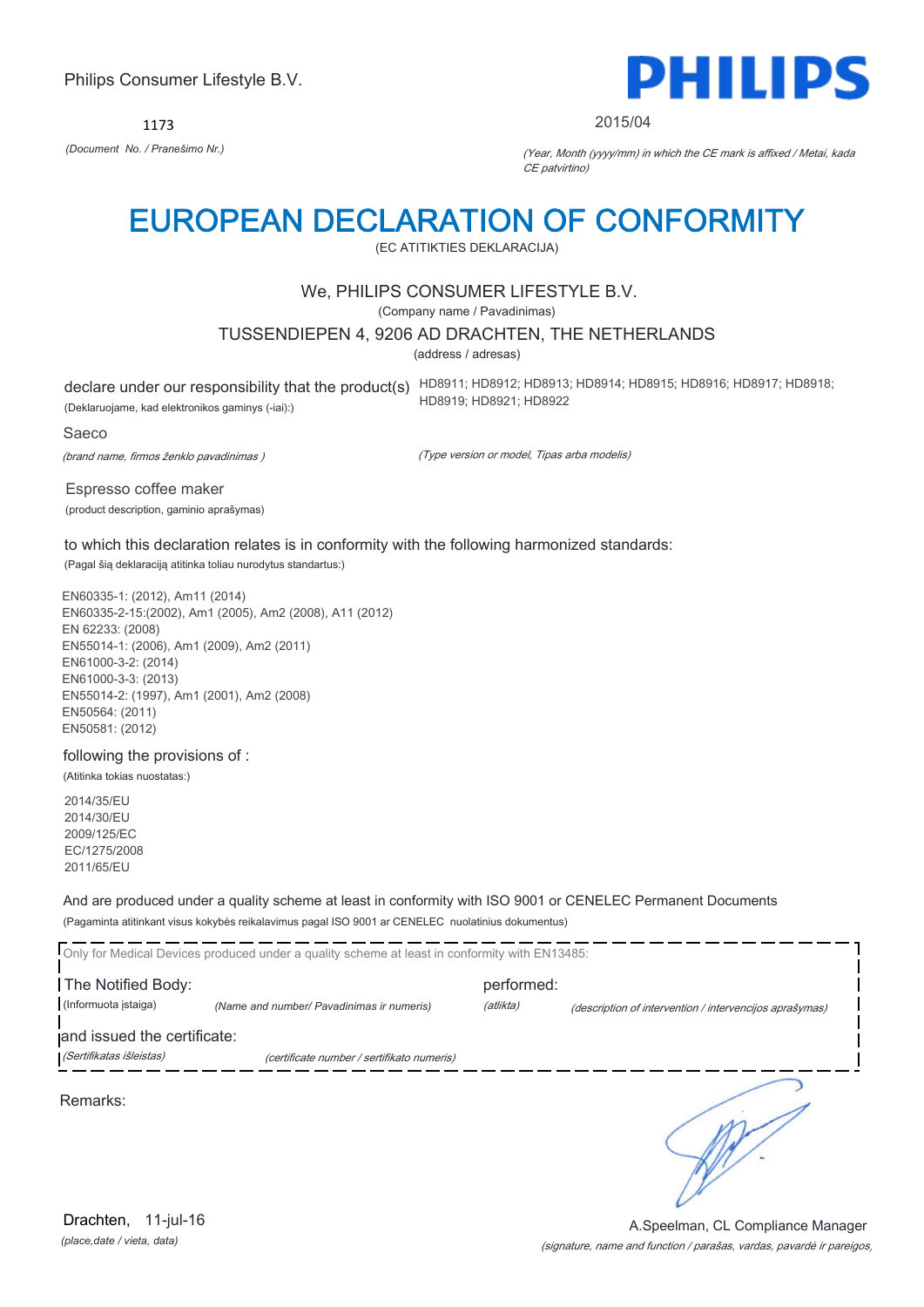1173



#### 2015/04

*(Document No. / Pranešimo Nr.)* (Year, Month (yyyy/mm) in which the CE mark is affixed / Metai, kada CE patvirtino)

# EUROPEAN DECLARATION OF CONFORMITY

(EC ATITIKTIES DEKLARACIJA)

### We, PHILIPS CONSUMER LIFESTYLE B.V.

(Company name / Pavadinimas)

#### TUSSENDIEPEN 4, 9206 AD DRACHTEN, THE NETHERLANDS

(address / adresas)

declare under our responsibility that the product(s) HD8911; HD8912; HD8913; HD8914; HD8915; HD8916; HD8917; HD8918; (Deklaruojame, kad elektronikos gaminys (-iai):) HD8919; HD8921; HD8922

#### Saeco

(brand name, firmos ženklo pavadinimas )

(Type version or model, Tipas arba modelis)

Espresso coffee maker (product description, gaminio aprašymas)

to which this declaration relates is in conformity with the following harmonized standards: (Pagal šią deklaraciją atitinka toliau nurodytus standartus:)

EN60335-1: (2012), Am11 (2014) EN60335-2-15:(2002), Am1 (2005), Am2 (2008), A11 (2012) EN 62233: (2008) EN55014-1: (2006), Am1 (2009), Am2 (2011) EN61000-3-2: (2014) EN61000-3-3: (2013) EN55014-2: (1997), Am1 (2001), Am2 (2008) EN50564: (2011) EN50581: (2012)

### following the provisions of :

(Atitinka tokias nuostatas:)

2014/35/EU 2014/30/EU 2009/125/EC EC/1275/2008 2011/65/EU

And are produced under a quality scheme at least in conformity with ISO 9001 or CENELEC Permanent Documents

(Pagaminta atitinkant visus kokybės reikalavimus pagal ISO 9001 ar CENELEC nuolatinius dokumentus)

|                             | Only for Medical Devices produced under a quality scheme at least in conformity with EN13485: |            |                                                         |
|-----------------------------|-----------------------------------------------------------------------------------------------|------------|---------------------------------------------------------|
| The Notified Body:          |                                                                                               | performed: |                                                         |
| (Informuota istaiga)        | (Name and number/ Pavadinimas ir numeris)                                                     | (atlikta)  | (description of intervention / intervencijos aprašymas) |
| and issued the certificate: |                                                                                               |            |                                                         |
| (Sertifikatas išleistas)    | (certificate number / sertifikato numeris)                                                    |            |                                                         |
| Remarks:                    |                                                                                               |            |                                                         |

*(place,date / vieta, data)* Drachten, 11-jul-16

### (signature, name and function / parašas, vardas, pavardė ir pareigos) A.Speelman, CL Compliance Manager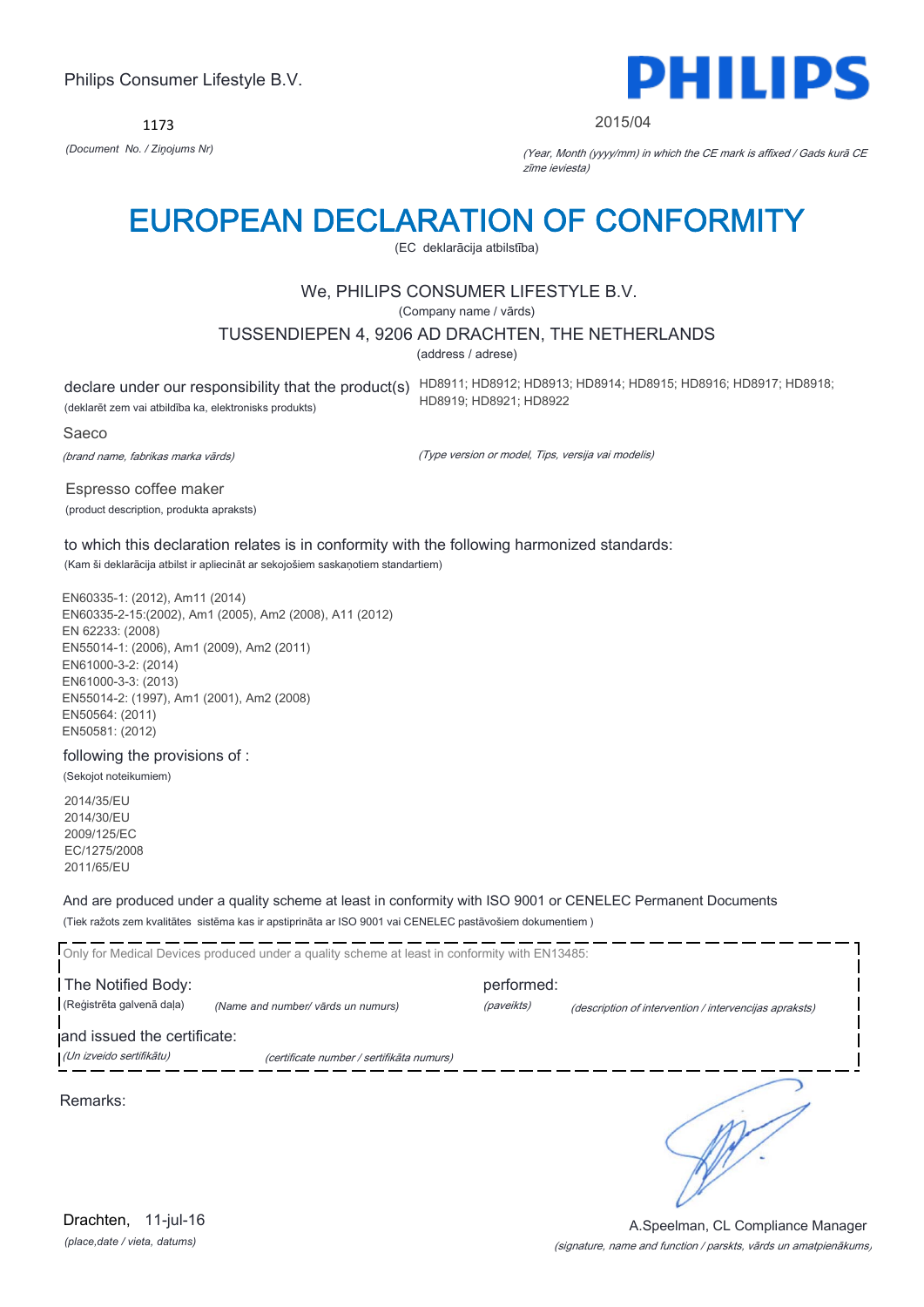1173



#### 2015/04

*(Document No. / Ziņojums Nr)* (Year, Month (yyyy/mm) in which the CE mark is affixed / Gads kurā CE zīme ieviesta)

# EUROPEAN DECLARATION OF CONFORMITY

(EC deklarācija atbilstība)

# We, PHILIPS CONSUMER LIFESTYLE B.V.

(Company name / vārds)

### TUSSENDIEPEN 4, 9206 AD DRACHTEN, THE NETHERLANDS

(address / adrese)

(deklarēt zem vai atbildība ka, elektronisks produkts)

declare under our responsibility that the product(s) HD8911; HD8912; HD8913; HD8914; HD8915; HD8916; HD8917; HD8918; HD8919; HD8921; HD8922

#### Saeco

(brand name, fabrikas marka vārds)

(Type version or model, Tips, versija vai modelis)

Espresso coffee maker (product description, produkta apraksts)

to which this declaration relates is in conformity with the following harmonized standards: (Kam ši deklarācija atbilst ir apliecināt ar sekojošiem saskaņotiem standartiem)

EN60335-1: (2012), Am11 (2014) EN60335-2-15:(2002), Am1 (2005), Am2 (2008), A11 (2012) EN 62233: (2008) EN55014-1: (2006), Am1 (2009), Am2 (2011) EN61000-3-2: (2014) EN61000-3-3: (2013) EN55014-2: (1997), Am1 (2001), Am2 (2008) EN50564: (2011) EN50581: (2012)

following the provisions of :

(Sekojot noteikumiem)

2014/35/EU 2014/30/EU 2009/125/EC EC/1275/2008 2011/65/EU

And are produced under a quality scheme at least in conformity with ISO 9001 or CENELEC Permanent Documents

(Tiek ražots zem kvalitātes sistēma kas ir apstiprināta ar ISO 9001 vai CENELEC pastāvošiem dokumentiem )

| Only for Medical Devices produced under a quality scheme at least in conformity with EN13485: |                                           |            |                                                        |
|-----------------------------------------------------------------------------------------------|-------------------------------------------|------------|--------------------------------------------------------|
| The Notified Body:                                                                            |                                           | performed: |                                                        |
| (Reģistrēta galvenā daļa)                                                                     | (Name and number/ vārds un numurs)        | (paveikts) | (description of intervention / intervencijas apraksts) |
| and issued the certificate:                                                                   |                                           |            |                                                        |
| (Un izveido sertifikātu)                                                                      | (certificate number / sertifikāta numurs) |            |                                                        |
| Remarks:                                                                                      |                                           |            |                                                        |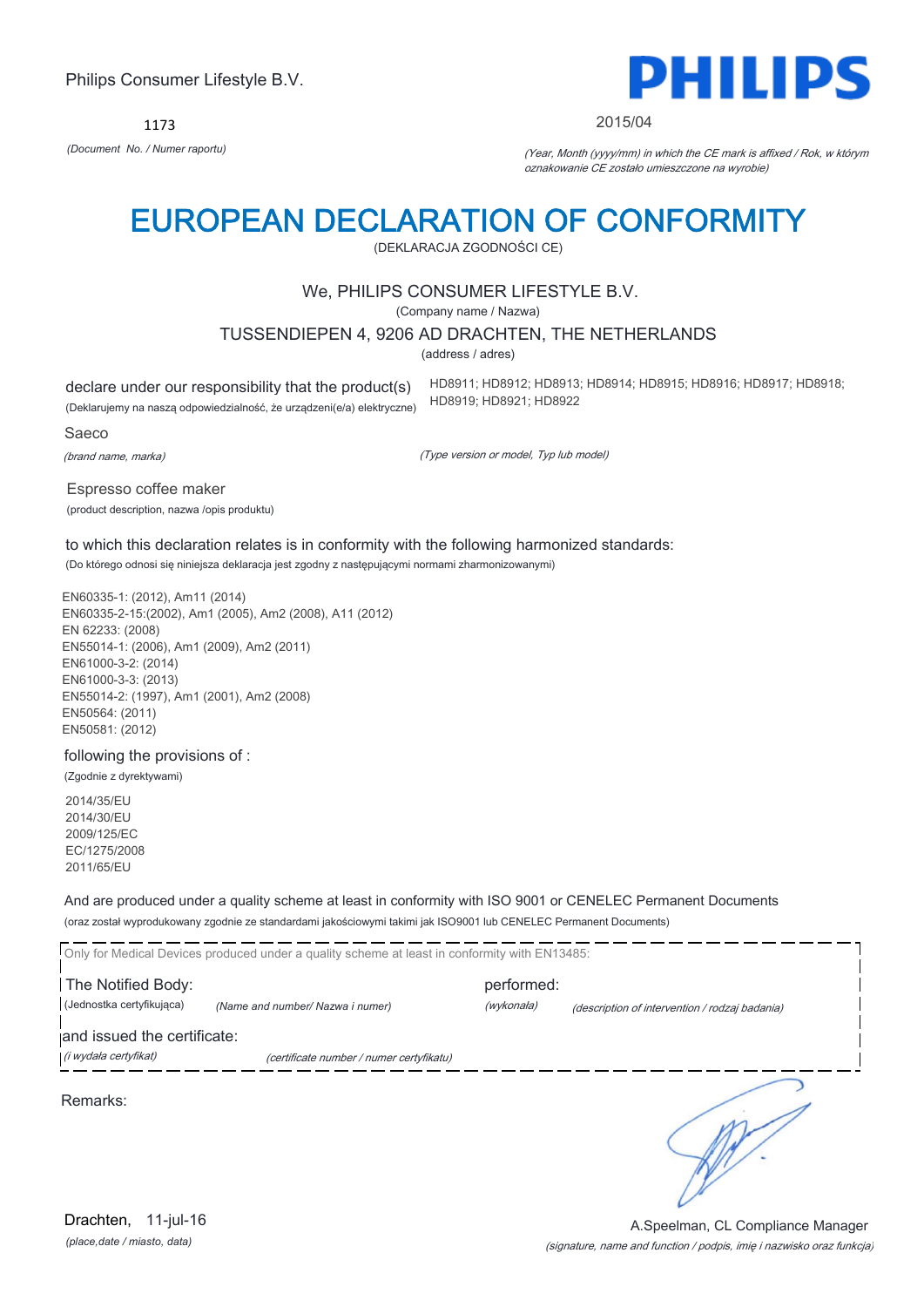1173



#### 2015/04

*(Document No. / Numer raportu)* (Year, Month (yyyy/mm) in which the CE mark is affixed / Rok, w którym oznakowanie CE zostało umieszczone na wyrobie)

# EUROPEAN DECLARATION OF CONFORMITY

(DEKLARACJA ZGODNOŚCI CE)

### We, PHILIPS CONSUMER LIFESTYLE B.V.

(Company name / Nazwa)

TUSSENDIEPEN 4, 9206 AD DRACHTEN, THE NETHERLANDS

(address / adres)

declare under our responsibility that the product(s) (Deklarujemy na naszą odpowiedzialność, że urządzeni(e/a) elektryczne) HD8911; HD8912; HD8913; HD8914; HD8915; HD8916; HD8917; HD8918; HD8919; HD8921; HD8922

Saeco

(brand name, marka)

(Type version or model, Typ lub model)

Espresso coffee maker (product description, nazwa /opis produktu)

to which this declaration relates is in conformity with the following harmonized standards: (Do którego odnosi się niniejsza deklaracja jest zgodny z następującymi normami zharmonizowanymi)

EN60335-1: (2012), Am11 (2014) EN60335-2-15:(2002), Am1 (2005), Am2 (2008), A11 (2012) EN 62233: (2008) EN55014-1: (2006), Am1 (2009), Am2 (2011) EN61000-3-2: (2014) EN61000-3-3: (2013) EN55014-2: (1997), Am1 (2001), Am2 (2008) EN50564: (2011) EN50581: (2012)

following the provisions of :

(Zgodnie z dyrektywami)

2014/35/EU 2014/30/EU 2009/125/EC EC/1275/2008 2011/65/EU

And are produced under a quality scheme at least in conformity with ISO 9001 or CENELEC Permanent Documents

(oraz został wyprodukowany zgodnie ze standardami jakościowymi takimi jak ISO9001 lub CENELEC Permanent Documents)

Only for Medical Devices produced under a quality scheme at least in conformity with EN13485: The Notified Body: example and performed: (Jednostka certyfikująca) *(Name and number/ Nazwa i numer)* (wykonała) (description of intervention / rodzaj badania) and issued the certificate: (i wydała certyfikat) (certificate number / numer certyfikatu) ℩ Remarks:

*(place,date / miasto, data)* Drachten, 11-jul-16

### (signature, name and function / podpis, imię i nazwisko oraz funkcja) A.Speelman, CL Compliance Manager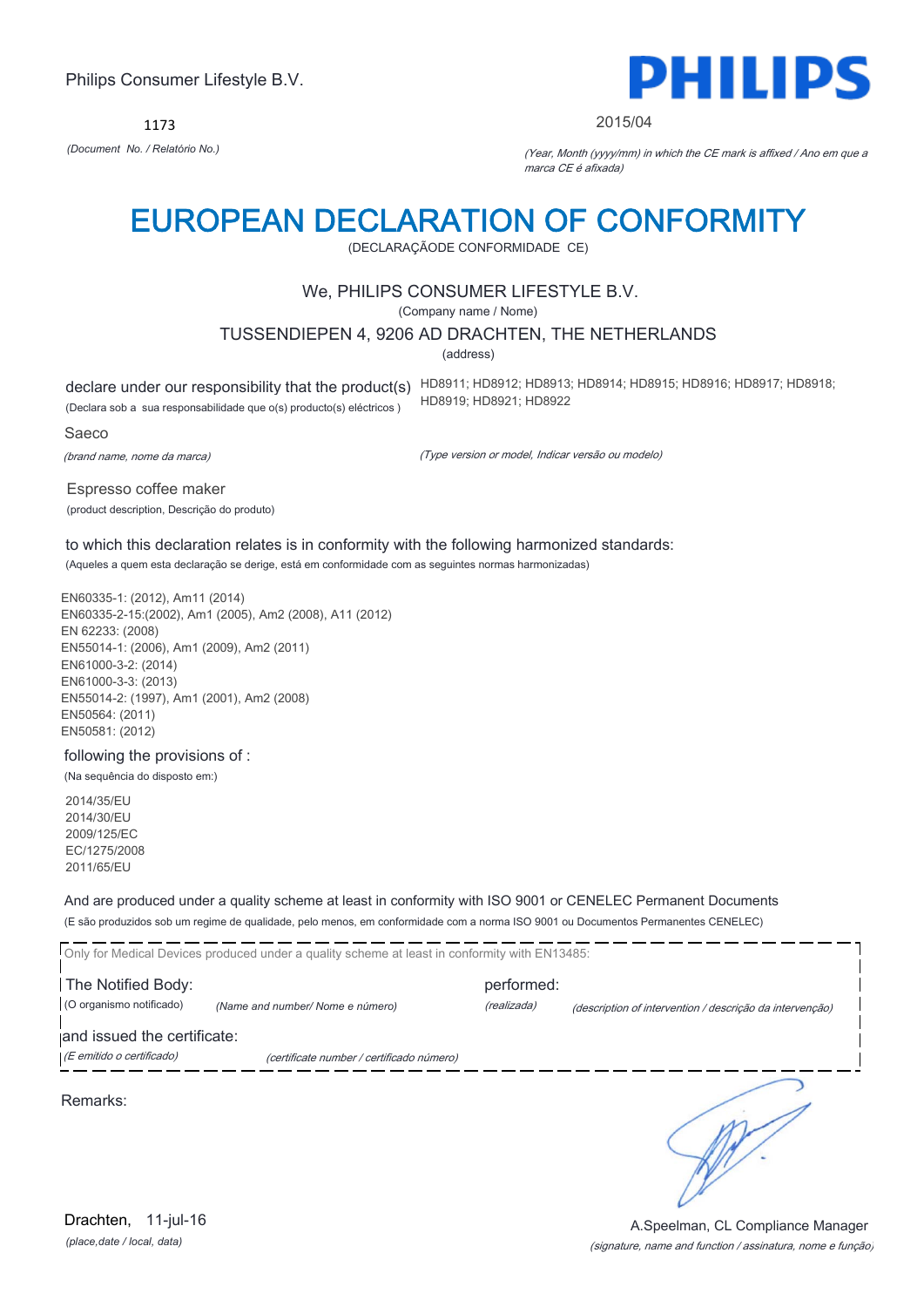1173



#### 2015/04

*(Document No. / Relatório No.)* (Year, Month (yyyy/mm) in which the CE mark is affixed / Ano em que a marca CE é afixada)

# EUROPEAN DECLARATION OF CONFORMITY

(DECLARAÇÃODE CONFORMIDADE CE)

# We, PHILIPS CONSUMER LIFESTYLE B.V.

(Company name / Nome)

### TUSSENDIEPEN 4, 9206 AD DRACHTEN, THE NETHERLANDS

(address)

(Declara sob a sua responsabilidade que o(s) producto(s) eléctricos )

declare under our responsibility that the product(s) HD8911; HD8912; HD8913; HD8914; HD8915; HD8916; HD8917; HD8918; HD8919; HD8921; HD8922

Saeco

(brand name, nome da marca)

(Type version or model, Indicar versão ou modelo)

Espresso coffee maker (product description, Descrição do produto)

to which this declaration relates is in conformity with the following harmonized standards: (Aqueles a quem esta declaração se derige, está em conformidade com as seguintes normas harmonizadas)

EN60335-1: (2012), Am11 (2014) EN60335-2-15:(2002), Am1 (2005), Am2 (2008), A11 (2012) EN 62233: (2008) EN55014-1: (2006), Am1 (2009), Am2 (2011) EN61000-3-2: (2014) EN61000-3-3: (2013) EN55014-2: (1997), Am1 (2001), Am2 (2008) EN50564: (2011) EN50581: (2012)

following the provisions of :

(Na sequência do disposto em:)

2014/35/EU 2014/30/EU 2009/125/EC EC/1275/2008 2011/65/EU

And are produced under a quality scheme at least in conformity with ISO 9001 or CENELEC Permanent Documents

(E são produzidos sob um regime de qualidade, pelo menos, em conformidade com a norma ISO 9001 ou Documentos Permanentes CENELEC)

Only for Medical Devices produced under a quality scheme at least in conformity with EN13485: The Notified Body: example and performed: (O organismo notificado) *(Name and number/ Nome e número)* (realizada) (description of intervention / descrição da intervenção) and issued the certificate: (E emitido o certificado) (certificate number / certificado número)

Remarks:

*(place,date / local, data)* Drachten, 11-jul-16

### (signature, name and function / assinatura, nome e função) A.Speelman, CL Compliance Manager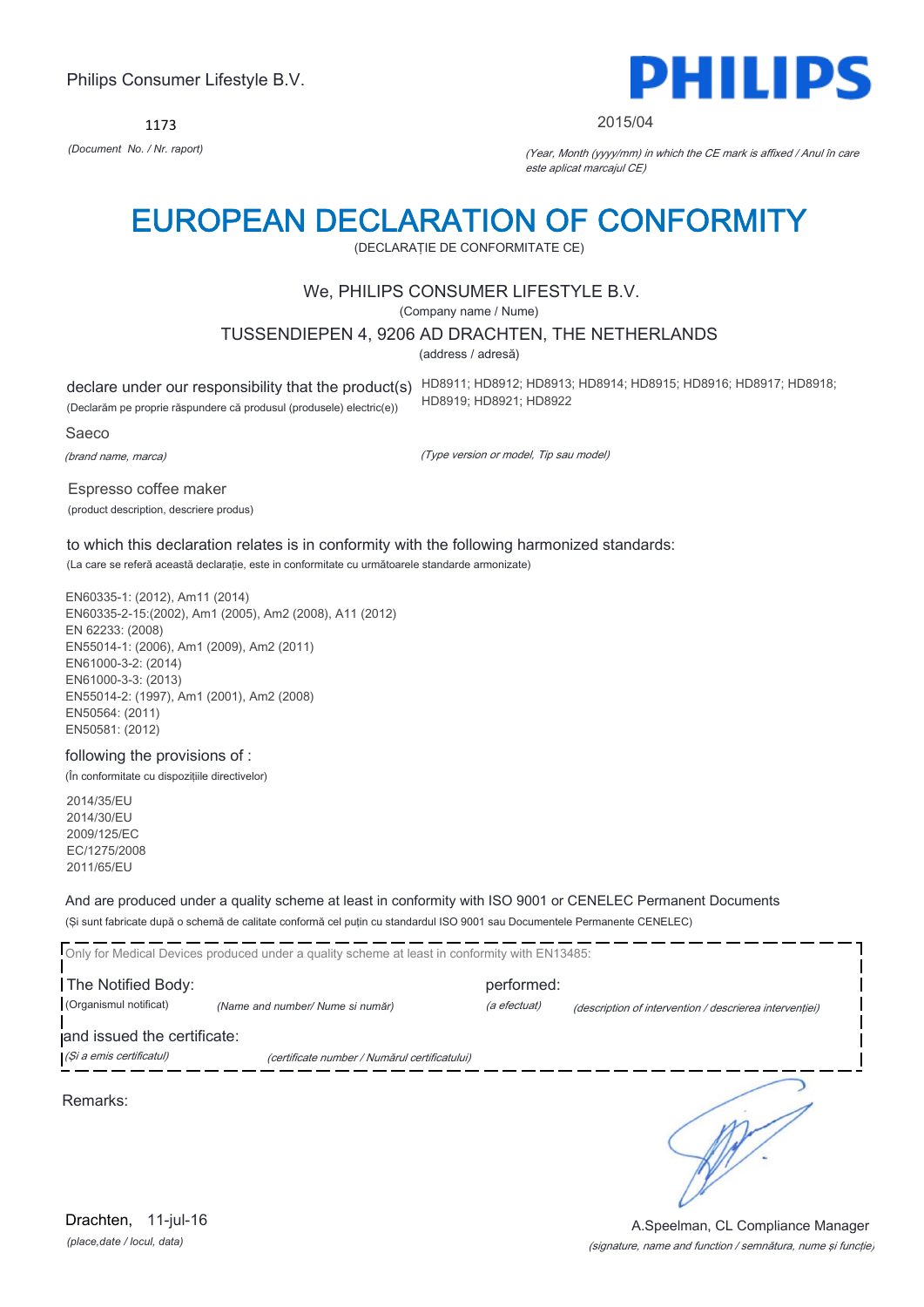1173



#### 2015/04

*(Document No. / Nr. raport)* (Year, Month (yyyy/mm) in which the CE mark is affixed / Anul în care este aplicat marcajul CE)

# EUROPEAN DECLARATION OF CONFORMITY

(DECLARAŢIE DE CONFORMITATE CE)

# We, PHILIPS CONSUMER LIFESTYLE B.V.

(Company name / Nume)

### TUSSENDIEPEN 4, 9206 AD DRACHTEN, THE NETHERLANDS

(address / adresă)

(Declarăm pe proprie răspundere că produsul (produsele) electric(e))

declare under our responsibility that the product(s) HD8911; HD8912; HD8913; HD8914; HD8915; HD8916; HD8917; HD8918; HD8919; HD8921; HD8922

Saeco

(brand name, marca)

(Type version or model, Tip sau model)

Espresso coffee maker (product description, descriere produs)

to which this declaration relates is in conformity with the following harmonized standards: (La care se referă această declaraţie, este in conformitate cu următoarele standarde armonizate)

EN60335-1: (2012), Am11 (2014) EN60335-2-15:(2002), Am1 (2005), Am2 (2008), A11 (2012) EN 62233: (2008) EN55014-1: (2006), Am1 (2009), Am2 (2011) EN61000-3-2: (2014) EN61000-3-3: (2013) EN55014-2: (1997), Am1 (2001), Am2 (2008) EN50564: (2011) EN50581: (2012)

#### following the provisions of :

(În conformitate cu dispoziţiile directivelor)

2014/35/EU 2014/30/EU 2009/125/EC EC/1275/2008 2011/65/EU

And are produced under a quality scheme at least in conformity with ISO 9001 or CENELEC Permanent Documents

(Şi sunt fabricate după o schemă de calitate conformă cel puţin cu standardul ISO 9001 sau Documentele Permanente CENELEC)

| Only for Medical Devices produced under a quality scheme at least in conformity with EN13485: |                                               |              |                                                         |
|-----------------------------------------------------------------------------------------------|-----------------------------------------------|--------------|---------------------------------------------------------|
| The Notified Body:                                                                            |                                               | performed:   |                                                         |
| (Organismul notificat)                                                                        | (Name and number/ Nume si număr)              | (a efectuat) | (description of intervention / descrierea interventiei) |
| and issued the certificate:                                                                   |                                               |              |                                                         |
| (Și a emis certificatul)                                                                      | (certificate number / Numărul certificatului) |              |                                                         |

Remarks: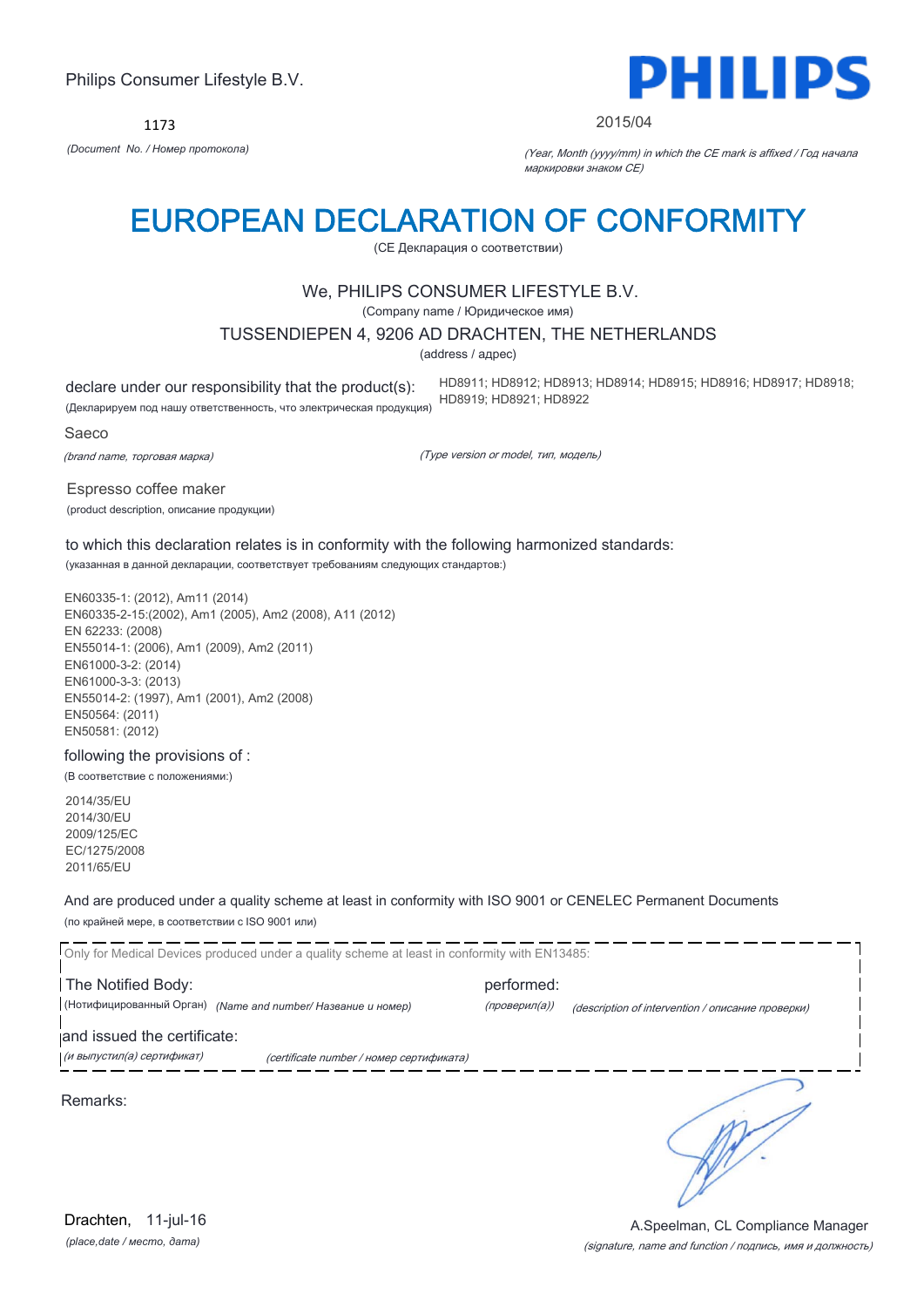1173



#### 2015/04

*(Document No. / Номер протокола)* (Year, Month (yyyy/mm) in which the CE mark is affixed / Год начала маркировки знаком CE)

# EUROPEAN DECLARATION OF CONFORMITY

(CE Декларация о соответствии)

# We, PHILIPS CONSUMER LIFESTYLE B.V.

(Company name / Юридическое имя)

### TUSSENDIEPEN 4, 9206 AD DRACHTEN, THE NETHERLANDS

(address / адрес)

declare under our responsibility that the product(s): (Декларируем под нашу ответственность, что электрическая продукция) HD8911; HD8912; HD8913; HD8914; HD8915; HD8916; HD8917; HD8918; HD8919; HD8921; HD8922

Saeco

(brand name, торговая марка)

(Type version or model, тип, модель)

Espresso coffee maker (product description, описание продукции)

to which this declaration relates is in conformity with the following harmonized standards: (указанная в данной декларации, соответствует требованиям следующих стандартов:)

EN60335-1: (2012), Am11 (2014) EN60335-2-15:(2002), Am1 (2005), Am2 (2008), A11 (2012) EN 62233: (2008) EN55014-1: (2006), Am1 (2009), Am2 (2011) EN61000-3-2: (2014) EN61000-3-3: (2013) EN55014-2: (1997), Am1 (2001), Am2 (2008) EN50564: (2011) EN50581: (2012)

following the provisions of :

(В соответствие с положениями:)

2014/35/EU 2014/30/EU 2009/125/EC EC/1275/2008 2011/65/EU

And are produced under a quality scheme at least in conformity with ISO 9001 or CENELEC Permanent Documents

(по крайней мере, в соответствии с ISO 9001 или)

Only for Medical Devices produced under a quality scheme at least in conformity with EN13485: The Notified Body: example and performed: (Нотифицированный Орган) *(Name and number/ Название и номер)* (проверил(а)) (description of intervention / описание проверки) and issued the certificate: (и выпустил(а) сертификат) (certificate number / номер сертификата) Remarks:

*(place,date / место, дата)* Drachten, 11-jul-16

#### (signature, name and function / подпись, имя и должность) A.Speelman, CL Compliance Manager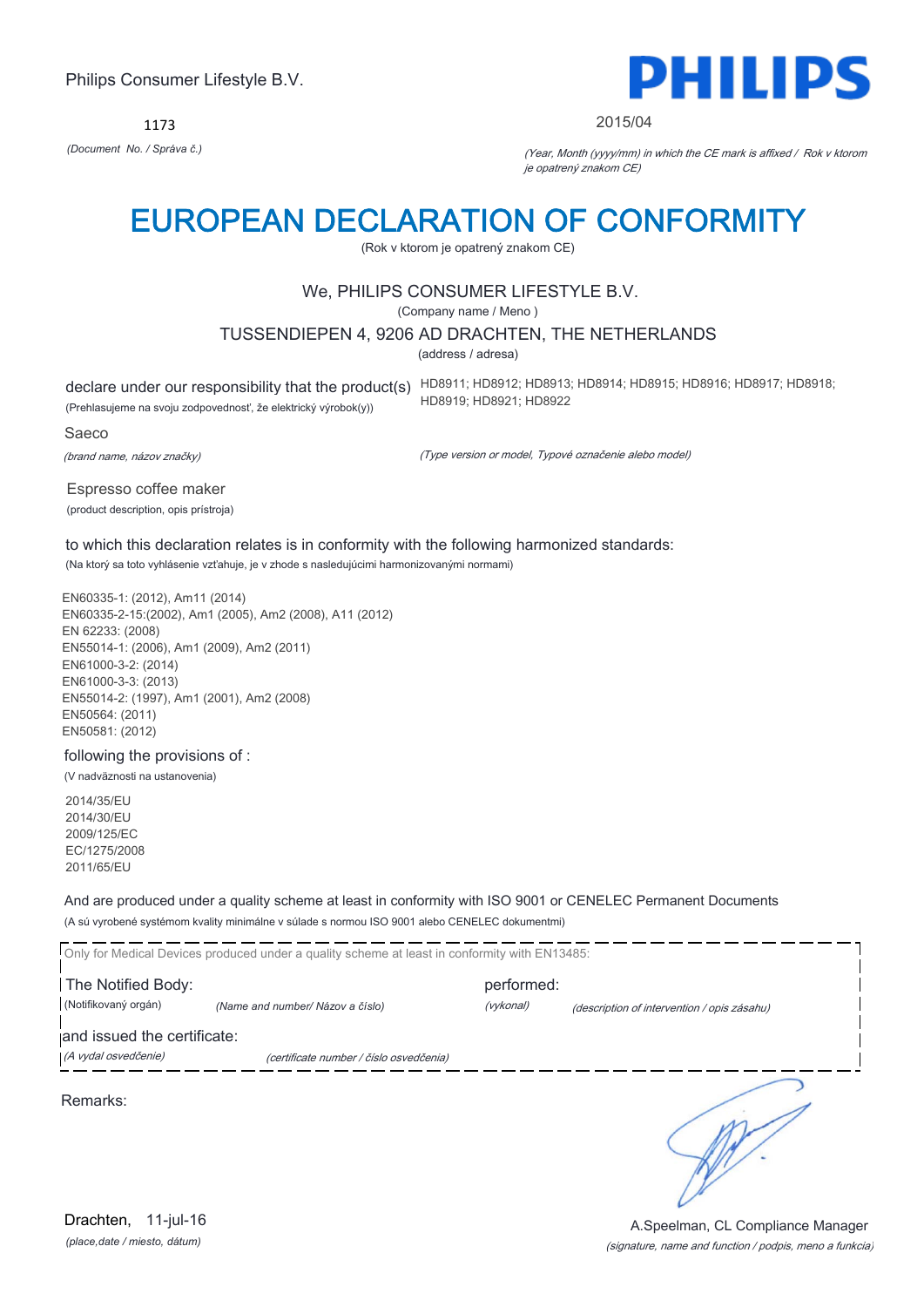1173



#### 2015/04

*(Document No. / Správa č.)* (Year, Month (yyyy/mm) in which the CE mark is affixed / Rok v ktorom je opatrený znakom CE)

# EUROPEAN DECLARATION OF CONFORMITY

(Rok v ktorom je opatrený znakom CE)

# We, PHILIPS CONSUMER LIFESTYLE B.V.

(Company name / Meno )

### TUSSENDIEPEN 4, 9206 AD DRACHTEN, THE NETHERLANDS

(address / adresa)

(Prehlasujeme na svoju zodpovednosť, že elektrický výrobok(y))

declare under our responsibility that the product(s) HD8911; HD8912; HD8913; HD8914; HD8915; HD8916; HD8917; HD8918; HD8919; HD8921; HD8922

Saeco

(brand name, názov značky)

(Type version or model, Typové označenie alebo model)

Espresso coffee maker (product description, opis prístroja)

to which this declaration relates is in conformity with the following harmonized standards: (Na ktorý sa toto vyhlásenie vzťahuje, je v zhode s nasledujúcimi harmonizovanými normami)

EN60335-1: (2012), Am11 (2014) EN60335-2-15:(2002), Am1 (2005), Am2 (2008), A11 (2012) EN 62233: (2008) EN55014-1: (2006), Am1 (2009), Am2 (2011) EN61000-3-2: (2014) EN61000-3-3: (2013) EN55014-2: (1997), Am1 (2001), Am2 (2008) EN50564: (2011) EN50581: (2012)

following the provisions of :

(V nadväznosti na ustanovenia)

2014/35/EU 2014/30/EU 2009/125/EC EC/1275/2008 2011/65/EU

And are produced under a quality scheme at least in conformity with ISO 9001 or CENELEC Permanent Documents

(A sú vyrobené systémom kvality minimálne v súlade s normou ISO 9001 alebo CENELEC dokumentmi)

Only for Medical Devices produced under a quality scheme at least in conformity with EN13485: The Notified Body: example and performed: (Notifikovaný orgán) *(Name and number/ Názov a číslo)* (vykonal) (description of intervention / opis zásahu) and issued the certificate: (A vydal osvedčenie) (certificate number / číslo osvedčenia) ℩ Remarks:

*(place,date / miesto, dátum)* Drachten, 11-jul-16

#### (signature, name and function / podpis, meno a funkcia) A.Speelman, CL Compliance Manager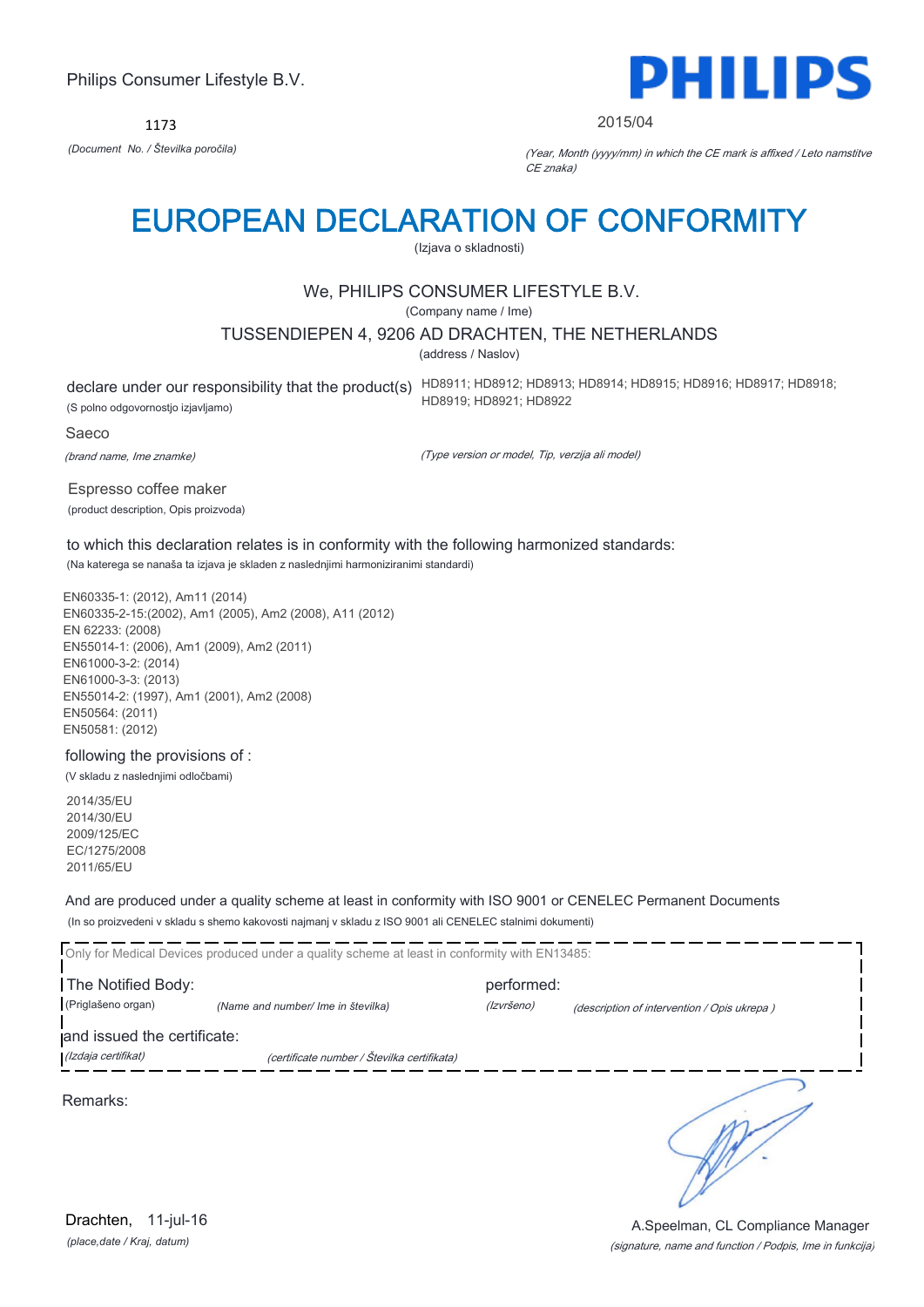1173



#### 2015/04

*(Document No. / Številka poročila)* (Year, Month (yyyy/mm) in which the CE mark is affixed / Leto namstitve CE znaka)

# EUROPEAN DECLARATION OF CONFORMITY

(Izjava o skladnosti)

# We, PHILIPS CONSUMER LIFESTYLE B.V.

(Company name / Ime)

### TUSSENDIEPEN 4, 9206 AD DRACHTEN, THE NETHERLANDS

(address / Naslov)

(S polno odgovornostjo izjavljamo)

declare under our responsibility that the product(s) HD8911; HD8912; HD8913; HD8914; HD8915; HD8916; HD8917; HD8918; HD8919; HD8921; HD8922

#### Saeco

(brand name, Ime znamke)

(Type version or model, Tip, verzija ali model)

Espresso coffee maker (product description, Opis proizvoda)

to which this declaration relates is in conformity with the following harmonized standards: (Na katerega se nanaša ta izjava je skladen z naslednjimi harmoniziranimi standardi)

EN60335-1: (2012), Am11 (2014) EN60335-2-15:(2002), Am1 (2005), Am2 (2008), A11 (2012) EN 62233: (2008) EN55014-1: (2006), Am1 (2009), Am2 (2011) EN61000-3-2: (2014) EN61000-3-3: (2013) EN55014-2: (1997), Am1 (2001), Am2 (2008) EN50564: (2011) EN50581: (2012)

following the provisions of :

(V skladu z naslednjimi odločbami)

2014/35/EU 2014/30/EU 2009/125/EC EC/1275/2008 2011/65/EU

And are produced under a quality scheme at least in conformity with ISO 9001 or CENELEC Permanent Documents

(In so proizvedeni v skladu s shemo kakovosti najmanj v skladu z ISO 9001 ali CENELEC stalnimi dokumenti)

Only for Medical Devices produced under a quality scheme at least in conformity with EN13485: The Notified Body: performed: (Priglašeno organ) *(Name and number/ Ime in številka)* (Izvršeno) (description of intervention / Opis ukrepa ) and issued the certificate: (Izdaja certifikat) (certificate number / Številka certifikata) ∍

Remarks:

*(place,date / Kraj, datum)* Drachten, 11-jul-16

(signature, name and function / Podpis, Ime in funkcija) A.Speelman, CL Compliance Manager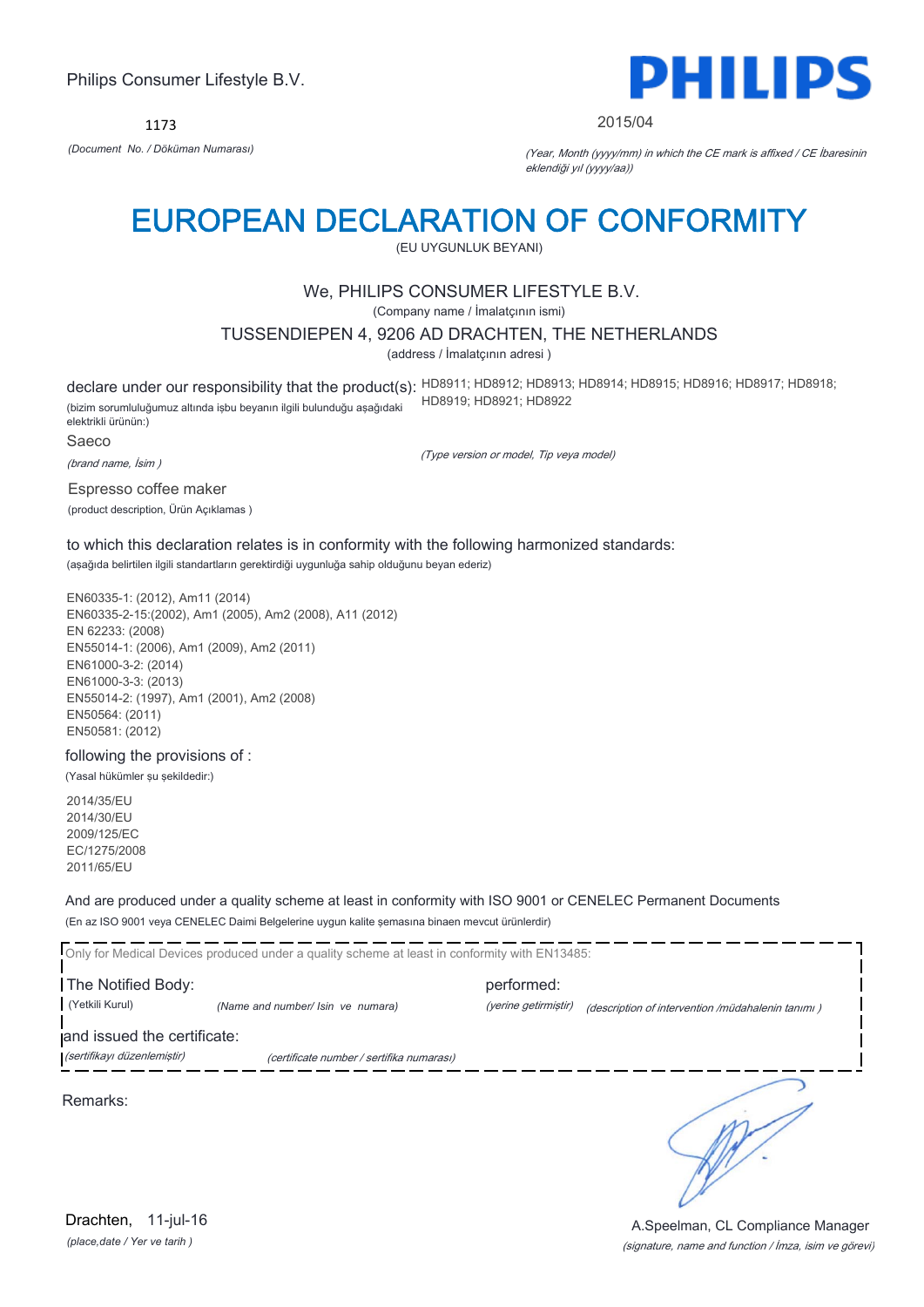1173



#### 2015/04

*(Document No. / Döküman Numarası)* (Year, Month (yyyy/mm) in which the CE mark is affixed / CE İbaresinin eklendiği yıl (yyyy/aa))

# EUROPEAN DECLARATION OF CONFORMITY

(EU UYGUNLUK BEYANI)

# We, PHILIPS CONSUMER LIFESTYLE B.V.

(Company name / İmalatçının ismi)

#### TUSSENDIEPEN 4, 9206 AD DRACHTEN, THE NETHERLANDS

(address / İmalatçının adresi )

declare under our responsibility that the product(s): HD8911; HD8912; HD8913; HD8914; HD8915; HD8916; HD8917; HD8918; (bizim sorumluluğumuz altında işbu beyanın ilgili bulunduğu aşağıdaki elektrikli ürünün:) HD8919; HD8921; HD8922

Saeco

(brand name, İsim )

(Type version or model, Tip veya model)

Espresso coffee maker (product description, Ürün Açıklamas )

to which this declaration relates is in conformity with the following harmonized standards: (aşağıda belirtilen ilgili standartların gerektirdiği uygunluğa sahip olduğunu beyan ederiz)

EN60335-1: (2012), Am11 (2014) EN60335-2-15:(2002), Am1 (2005), Am2 (2008), A11 (2012) EN 62233: (2008) EN55014-1: (2006), Am1 (2009), Am2 (2011) EN61000-3-2: (2014) EN61000-3-3: (2013) EN55014-2: (1997), Am1 (2001), Am2 (2008) EN50564: (2011) EN50581: (2012)

following the provisions of :

(Yasal hükümler şu şekildedir:)

2014/35/EU 2014/30/EU 2009/125/EC EC/1275/2008 2011/65/EU

And are produced under a quality scheme at least in conformity with ISO 9001 or CENELEC Permanent Documents

(En az ISO 9001 veya CENELEC Daimi Belgelerine uygun kalite şemasına binaen mevcut ürünlerdir)

Only for Medical Devices produced under a quality scheme at least in conformity with EN13485:

The Notified Body: performed: (Yetkili Kurul) *(Name and number/ Isin ve numara)* (yerine getirmiştir) (description of intervention /müdahalenin tanımı )

and issued the certificate:

(sertifikayı düzenlemiştir) (certificate number / sertifika numarası)

Remarks:

*(place,date / Yer ve tarih )* Drachten, 11-jul-16

(signature, name and function / İmza, isim ve görevi) A.Speelman, CL Compliance Manager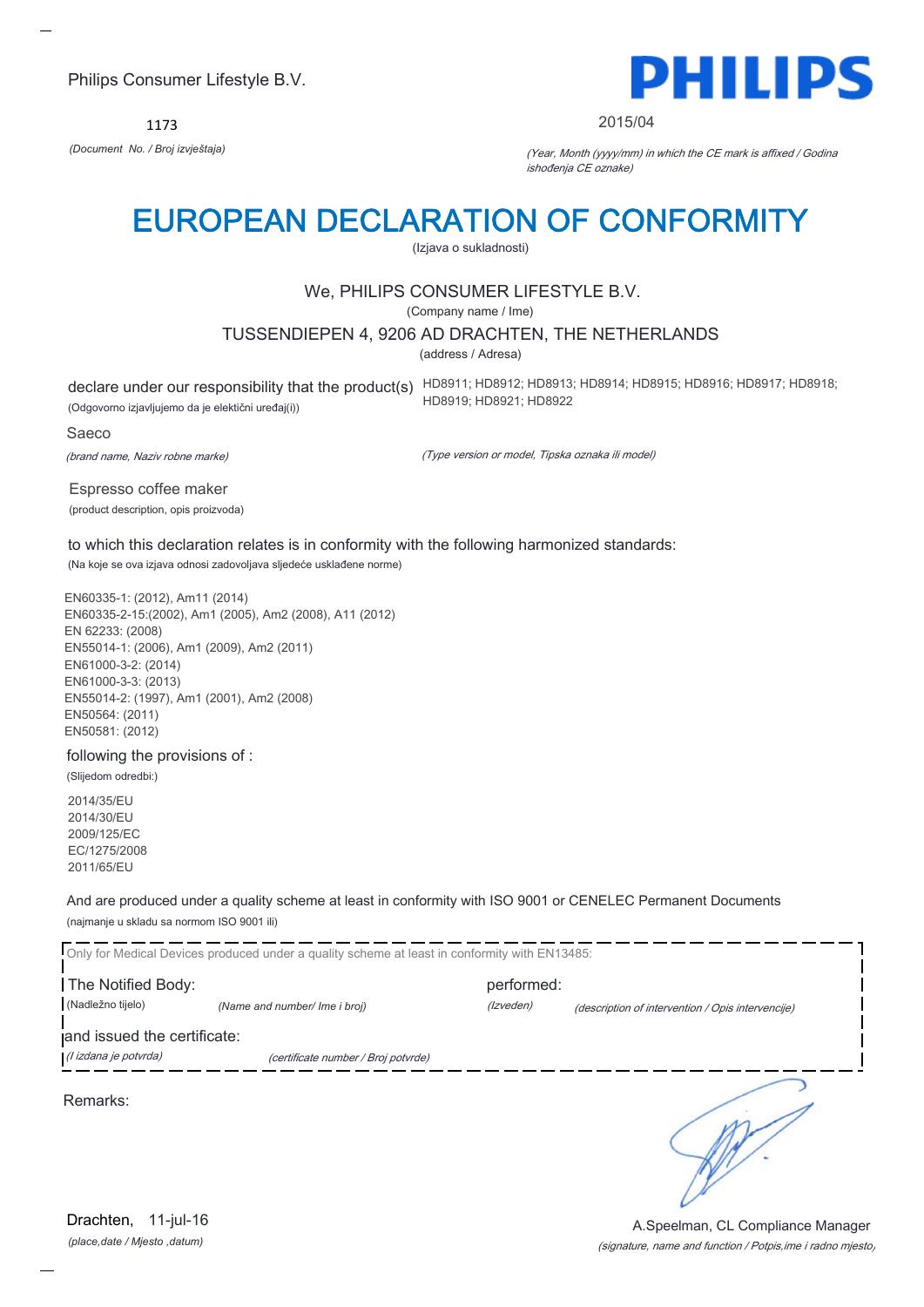1173



#### 2015/04

*(Document No. / Broj izvještaja)* (Year, Month (yyyy/mm) in which the CE mark is affixed / Godina ishođenja CE oznake)

# EUROPEAN DECLARATION OF CONFORMITY

(Izjava o sukladnosti)

# We, PHILIPS CONSUMER LIFESTYLE B.V.

(Company name / Ime)

### TUSSENDIEPEN 4, 9206 AD DRACHTEN, THE NETHERLANDS

(address / Adresa)

(Odgovorno izjavljujemo da je elektični uređaj(i))

declare under our responsibility that the product(s) HD8911; HD8912; HD8913; HD8914; HD8915; HD8916; HD8917; HD8918; HD8919; HD8921; HD8922

#### Saeco

(brand name, Naziv robne marke)

(Type version or model, Tipska oznaka ili model)

Espresso coffee maker (product description, opis proizvoda)

to which this declaration relates is in conformity with the following harmonized standards: (Na koje se ova izjava odnosi zadovoljava sljedeće usklađene norme)

EN60335-1: (2012), Am11 (2014) EN60335-2-15:(2002), Am1 (2005), Am2 (2008), A11 (2012) EN 62233: (2008) EN55014-1: (2006), Am1 (2009), Am2 (2011) EN61000-3-2: (2014) EN61000-3-3: (2013) EN55014-2: (1997), Am1 (2001), Am2 (2008) EN50564: (2011) EN50581: (2012)

following the provisions of :

(Slijedom odredbi:)

2014/35/EU 2014/30/EU 2009/125/EC EC/1275/2008 2011/65/EU

And are produced under a quality scheme at least in conformity with ISO 9001 or CENELEC Permanent Documents (najmanje u skladu sa normom ISO 9001 ili)

Only for Medical Devices produced under a quality scheme at least in conformity with EN13485: The Notified Body: performed: (Nadležno tijelo) *(Name and number/ Ime i broj)* (Izveden) (description of intervention / Opis intervencije) and issued the certificate: (I izdana je potvrda) (certificate number / Broj potvrde) ∍ Remarks:

*(place,date / Mjesto ,datum)* Drachten, 11-jul-16

#### (signature, name and function / Potpis,ime i radno mjesto) A.Speelman, CL Compliance Manager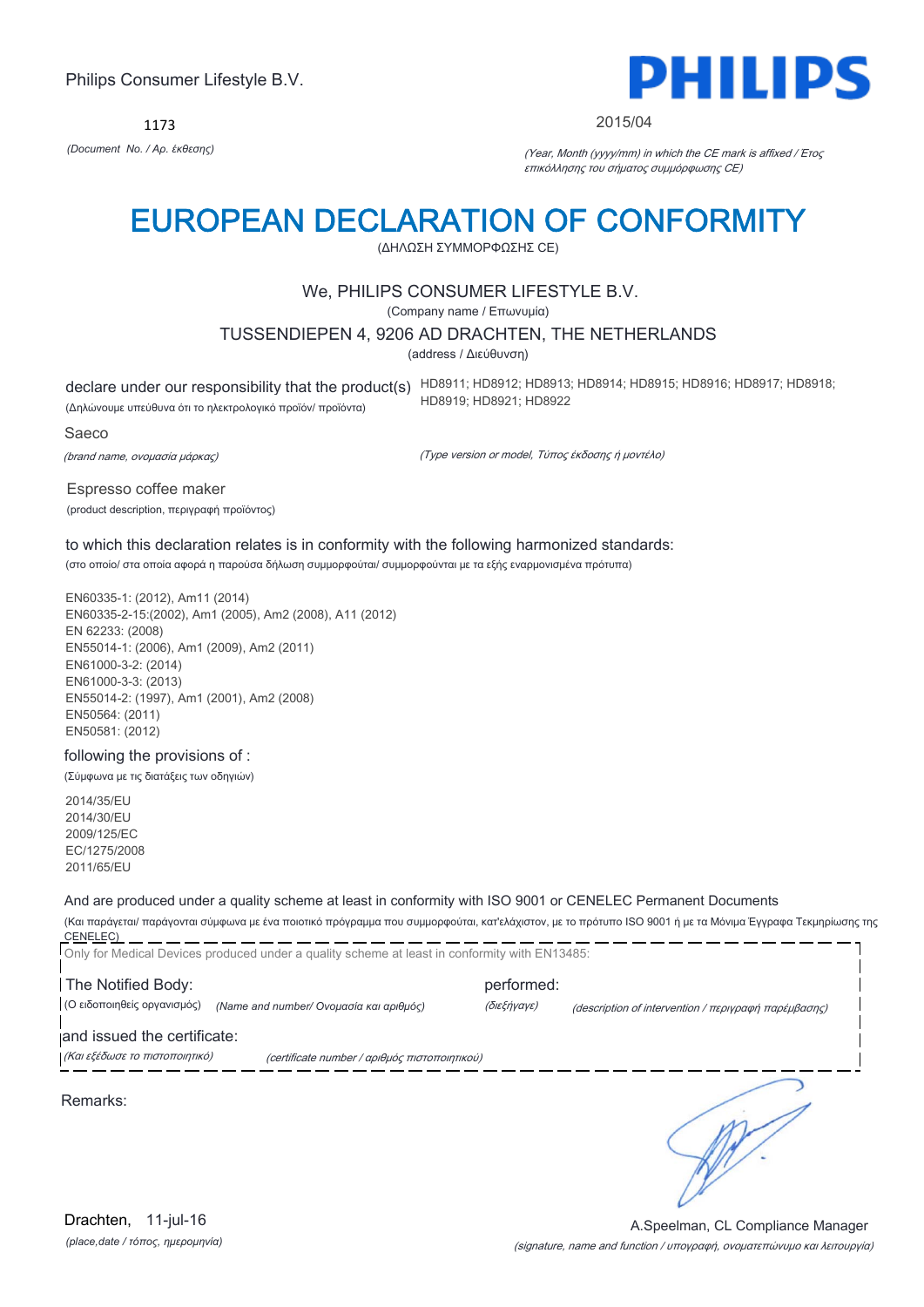1173



#### 2015/04

*(Document No. / Αρ. έκθεσης)* (Year, Month (yyyy/mm) in which the CE mark is affixed / Έτος επικόλλησης του σήματος συμμόρφωσης CE)

# EUROPEAN DECLARATION OF CONFORMITY

(ΔΗΛΩΣΗ ΣΥΜΜΟΡΦΩΣΗΣ CE)

# We, PHILIPS CONSUMER LIFESTYLE B.V.

(Company name / Επωνυμία)

### TUSSENDIEPEN 4, 9206 AD DRACHTEN, THE NETHERLANDS

(address / Διεύθυνση)

declare under our responsibility that the product(s) HD8911; HD8912; HD8913; HD8914; HD8915; HD8916; HD8917; HD8918; (Δηλώνουμε υπεύθυνα ότι το ηλεκτρολογικό προϊόν/ προϊόντα) HD8919; HD8921; HD8922

#### Saeco

(brand name, ονομασία μάρκας)

(Type version or model, Τύπος έκδοσης ή μοντέλο)

Espresso coffee maker (product description, περιγραφή προϊόντος)

to which this declaration relates is in conformity with the following harmonized standards: (στο οποίο/ στα οποία αφορά η παρούσα δήλωση συμμορφούται/ συμμορφούνται με τα εξής εναρμονισμένα πρότυπα)

EN60335-1: (2012), Am11 (2014) EN60335-2-15:(2002), Am1 (2005), Am2 (2008), A11 (2012) EN 62233: (2008) EN55014-1: (2006), Am1 (2009), Am2 (2011) EN61000-3-2: (2014) EN61000-3-3: (2013) EN55014-2: (1997), Am1 (2001), Am2 (2008) EN50564: (2011) EN50581: (2012)

#### following the provisions of :

(Σύμφωνα με τις διατάξεις των οδηγιών)

2014/35/EU 2014/30/EU 2009/125/EC EC/1275/2008 2011/65/EU

#### And are produced under a quality scheme at least in conformity with ISO 9001 or CENELEC Permanent Documents

(Και παράγεται/ παράγονται σύμφωνα με ένα ποιοτικό πρόγραμμα που συμμορφούται, κατ'ελάχιστον, με το πρότυπο ISO 9001 ή με τα Μόνιμα Έγγραφα Τεκμηρίωσης της CENELEC) Only for Medical Devices produced under a quality scheme at least in conformity with EN13485:

The Notified Body: example and performed: (Ο ειδοποιηθείς οργανισμός) *(Name and number/ Ονομασία και αριθμός)* (διεξήγαγε) (description of intervention / περιγραφή παρέμβασης)

and issued the certificate:

(Και εξέδωσε το πιστοποιητικό) (certificate number / αριθμός πιστοποιητικού)

Remarks: